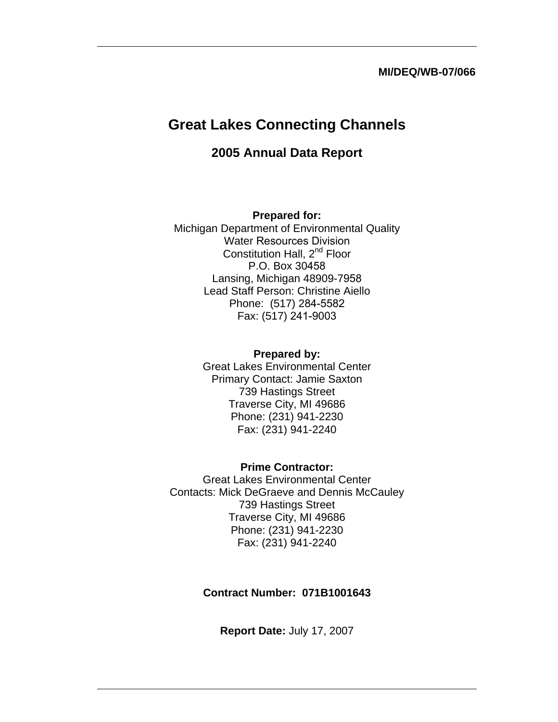#### **MI/DEQ/WB-07/066**

# **Great Lakes Connecting Channels**

## **2005 Annual Data Report**

#### **Prepared for:**

Michigan Department of Environmental Quality Water Resources Division Constitution Hall, 2<sup>nd</sup> Floor P.O. Box 30458 Lansing, Michigan 48909-7958 Lead Staff Person: Christine Aiello Phone: (517) 284-5582 Fax: (517) 241-9003

#### **Prepared by:**

Great Lakes Environmental Center Primary Contact: Jamie Saxton 739 Hastings Street Traverse City, MI 49686 Phone: (231) 941-2230 Fax: (231) 941-2240

## **Prime Contractor:**  Great Lakes Environmental Center

Contacts: Mick DeGraeve and Dennis McCauley 739 Hastings Street Traverse City, MI 49686 Phone: (231) 941-2230 Fax: (231) 941-2240

#### **Contract Number: 071B1001643**

**Report Date:** July 17, 2007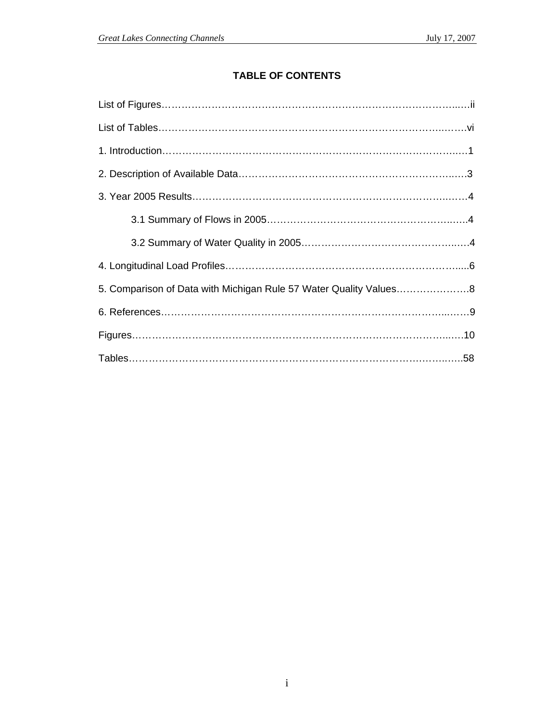## **TABLE OF CONTENTS**

| 5. Comparison of Data with Michigan Rule 57 Water Quality Values8 |
|-------------------------------------------------------------------|
|                                                                   |
|                                                                   |
|                                                                   |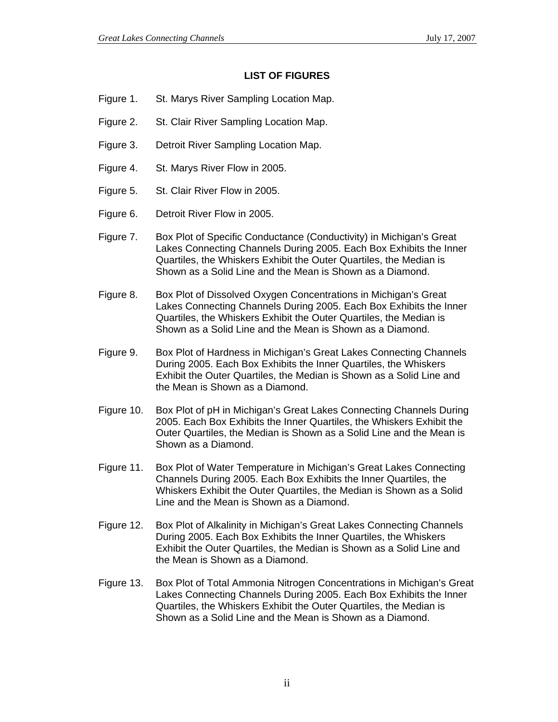#### **LIST OF FIGURES**

- Figure 1. St. Marys River Sampling Location Map.
- Figure 2. St. Clair River Sampling Location Map.
- Figure 3. Detroit River Sampling Location Map.
- Figure 4. St. Marys River Flow in 2005.
- Figure 5. St. Clair River Flow in 2005.
- Figure 6. Detroit River Flow in 2005.
- Figure 7. Box Plot of Specific Conductance (Conductivity) in Michigan's Great Lakes Connecting Channels During 2005. Each Box Exhibits the Inner Quartiles, the Whiskers Exhibit the Outer Quartiles, the Median is Shown as a Solid Line and the Mean is Shown as a Diamond.
- Figure 8. Box Plot of Dissolved Oxygen Concentrations in Michigan's Great Lakes Connecting Channels During 2005. Each Box Exhibits the Inner Quartiles, the Whiskers Exhibit the Outer Quartiles, the Median is Shown as a Solid Line and the Mean is Shown as a Diamond.
- Figure 9. Box Plot of Hardness in Michigan's Great Lakes Connecting Channels During 2005. Each Box Exhibits the Inner Quartiles, the Whiskers Exhibit the Outer Quartiles, the Median is Shown as a Solid Line and the Mean is Shown as a Diamond.
- Figure 10. Box Plot of pH in Michigan's Great Lakes Connecting Channels During 2005. Each Box Exhibits the Inner Quartiles, the Whiskers Exhibit the Outer Quartiles, the Median is Shown as a Solid Line and the Mean is Shown as a Diamond.
- Figure 11. Box Plot of Water Temperature in Michigan's Great Lakes Connecting Channels During 2005. Each Box Exhibits the Inner Quartiles, the Whiskers Exhibit the Outer Quartiles, the Median is Shown as a Solid Line and the Mean is Shown as a Diamond.
- Figure 12. Box Plot of Alkalinity in Michigan's Great Lakes Connecting Channels During 2005. Each Box Exhibits the Inner Quartiles, the Whiskers Exhibit the Outer Quartiles, the Median is Shown as a Solid Line and the Mean is Shown as a Diamond.
- Figure 13. Box Plot of Total Ammonia Nitrogen Concentrations in Michigan's Great Lakes Connecting Channels During 2005. Each Box Exhibits the Inner Quartiles, the Whiskers Exhibit the Outer Quartiles, the Median is Shown as a Solid Line and the Mean is Shown as a Diamond.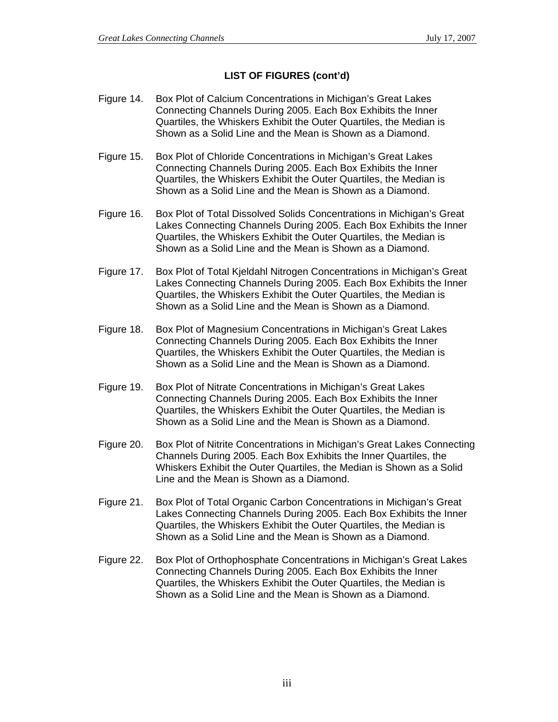## **LIST OF FIGURES (cont'd)**

- Figure 14. Box Plot of Calcium Concentrations in Michigan's Great Lakes Connecting Channels During 2005. Each Box Exhibits the Inner Quartiles, the Whiskers Exhibit the Outer Quartiles, the Median is Shown as a Solid Line and the Mean is Shown as a Diamond.
- Figure 15. Box Plot of Chloride Concentrations in Michigan's Great Lakes Connecting Channels During 2005. Each Box Exhibits the Inner Quartiles, the Whiskers Exhibit the Outer Quartiles, the Median is Shown as a Solid Line and the Mean is Shown as a Diamond.
- Figure 16. Box Plot of Total Dissolved Solids Concentrations in Michigan's Great Lakes Connecting Channels During 2005. Each Box Exhibits the Inner Quartiles, the Whiskers Exhibit the Outer Quartiles, the Median is Shown as a Solid Line and the Mean is Shown as a Diamond.
- Figure 17. Box Plot of Total Kjeldahl Nitrogen Concentrations in Michigan's Great Lakes Connecting Channels During 2005. Each Box Exhibits the Inner Quartiles, the Whiskers Exhibit the Outer Quartiles, the Median is Shown as a Solid Line and the Mean is Shown as a Diamond.
- Figure 18. Box Plot of Magnesium Concentrations in Michigan's Great Lakes Connecting Channels During 2005. Each Box Exhibits the Inner Quartiles, the Whiskers Exhibit the Outer Quartiles, the Median is Shown as a Solid Line and the Mean is Shown as a Diamond.
- Figure 19. Box Plot of Nitrate Concentrations in Michigan's Great Lakes Connecting Channels During 2005. Each Box Exhibits the Inner Quartiles, the Whiskers Exhibit the Outer Quartiles, the Median is Shown as a Solid Line and the Mean is Shown as a Diamond.
- Figure 20. Box Plot of Nitrite Concentrations in Michigan's Great Lakes Connecting Channels During 2005. Each Box Exhibits the Inner Quartiles, the Whiskers Exhibit the Outer Quartiles, the Median is Shown as a Solid Line and the Mean is Shown as a Diamond.
- Figure 21. Box Plot of Total Organic Carbon Concentrations in Michigan's Great Lakes Connecting Channels During 2005. Each Box Exhibits the Inner Quartiles, the Whiskers Exhibit the Outer Quartiles, the Median is Shown as a Solid Line and the Mean is Shown as a Diamond.
- Figure 22. Box Plot of Orthophosphate Concentrations in Michigan's Great Lakes Connecting Channels During 2005. Each Box Exhibits the Inner Quartiles, the Whiskers Exhibit the Outer Quartiles, the Median is Shown as a Solid Line and the Mean is Shown as a Diamond.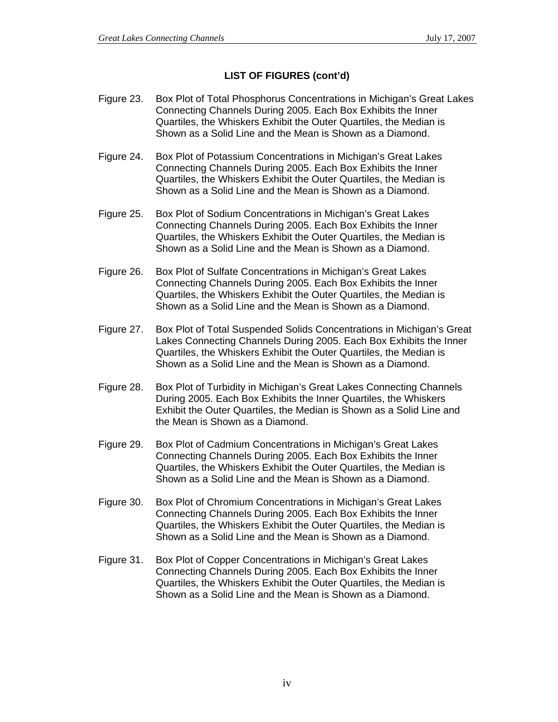#### **LIST OF FIGURES (cont'd)**

- Figure 23. Box Plot of Total Phosphorus Concentrations in Michigan's Great Lakes Connecting Channels During 2005. Each Box Exhibits the Inner Quartiles, the Whiskers Exhibit the Outer Quartiles, the Median is Shown as a Solid Line and the Mean is Shown as a Diamond.
- Figure 24. Box Plot of Potassium Concentrations in Michigan's Great Lakes Connecting Channels During 2005. Each Box Exhibits the Inner Quartiles, the Whiskers Exhibit the Outer Quartiles, the Median is Shown as a Solid Line and the Mean is Shown as a Diamond.
- Figure 25. Box Plot of Sodium Concentrations in Michigan's Great Lakes Connecting Channels During 2005. Each Box Exhibits the Inner Quartiles, the Whiskers Exhibit the Outer Quartiles, the Median is Shown as a Solid Line and the Mean is Shown as a Diamond.
- Figure 26. Box Plot of Sulfate Concentrations in Michigan's Great Lakes Connecting Channels During 2005. Each Box Exhibits the Inner Quartiles, the Whiskers Exhibit the Outer Quartiles, the Median is Shown as a Solid Line and the Mean is Shown as a Diamond.
- Figure 27. Box Plot of Total Suspended Solids Concentrations in Michigan's Great Lakes Connecting Channels During 2005. Each Box Exhibits the Inner Quartiles, the Whiskers Exhibit the Outer Quartiles, the Median is Shown as a Solid Line and the Mean is Shown as a Diamond.
- Figure 28. Box Plot of Turbidity in Michigan's Great Lakes Connecting Channels During 2005. Each Box Exhibits the Inner Quartiles, the Whiskers Exhibit the Outer Quartiles, the Median is Shown as a Solid Line and the Mean is Shown as a Diamond.
- Figure 29. Box Plot of Cadmium Concentrations in Michigan's Great Lakes Connecting Channels During 2005. Each Box Exhibits the Inner Quartiles, the Whiskers Exhibit the Outer Quartiles, the Median is Shown as a Solid Line and the Mean is Shown as a Diamond.
- Figure 30. Box Plot of Chromium Concentrations in Michigan's Great Lakes Connecting Channels During 2005. Each Box Exhibits the Inner Quartiles, the Whiskers Exhibit the Outer Quartiles, the Median is Shown as a Solid Line and the Mean is Shown as a Diamond.
- Figure 31. Box Plot of Copper Concentrations in Michigan's Great Lakes Connecting Channels During 2005. Each Box Exhibits the Inner Quartiles, the Whiskers Exhibit the Outer Quartiles, the Median is Shown as a Solid Line and the Mean is Shown as a Diamond.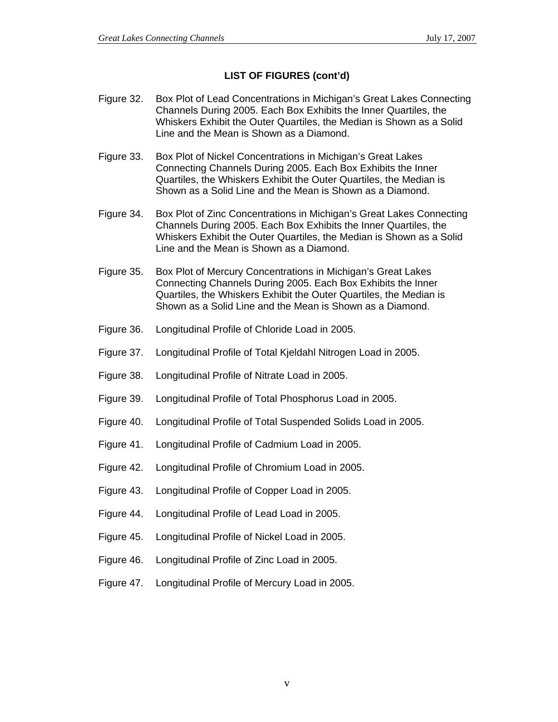#### **LIST OF FIGURES (cont'd)**

- Figure 32. Box Plot of Lead Concentrations in Michigan's Great Lakes Connecting Channels During 2005. Each Box Exhibits the Inner Quartiles, the Whiskers Exhibit the Outer Quartiles, the Median is Shown as a Solid Line and the Mean is Shown as a Diamond.
- Figure 33. Box Plot of Nickel Concentrations in Michigan's Great Lakes Connecting Channels During 2005. Each Box Exhibits the Inner Quartiles, the Whiskers Exhibit the Outer Quartiles, the Median is Shown as a Solid Line and the Mean is Shown as a Diamond.
- Figure 34. Box Plot of Zinc Concentrations in Michigan's Great Lakes Connecting Channels During 2005. Each Box Exhibits the Inner Quartiles, the Whiskers Exhibit the Outer Quartiles, the Median is Shown as a Solid Line and the Mean is Shown as a Diamond.
- Figure 35. Box Plot of Mercury Concentrations in Michigan's Great Lakes Connecting Channels During 2005. Each Box Exhibits the Inner Quartiles, the Whiskers Exhibit the Outer Quartiles, the Median is Shown as a Solid Line and the Mean is Shown as a Diamond.
- Figure 36. Longitudinal Profile of Chloride Load in 2005.
- Figure 37. Longitudinal Profile of Total Kjeldahl Nitrogen Load in 2005.
- Figure 38. Longitudinal Profile of Nitrate Load in 2005.
- Figure 39. Longitudinal Profile of Total Phosphorus Load in 2005.
- Figure 40. Longitudinal Profile of Total Suspended Solids Load in 2005.
- Figure 41. Longitudinal Profile of Cadmium Load in 2005.
- Figure 42. Longitudinal Profile of Chromium Load in 2005.
- Figure 43. Longitudinal Profile of Copper Load in 2005.
- Figure 44. Longitudinal Profile of Lead Load in 2005.
- Figure 45. Longitudinal Profile of Nickel Load in 2005.
- Figure 46. Longitudinal Profile of Zinc Load in 2005.
- Figure 47. Longitudinal Profile of Mercury Load in 2005.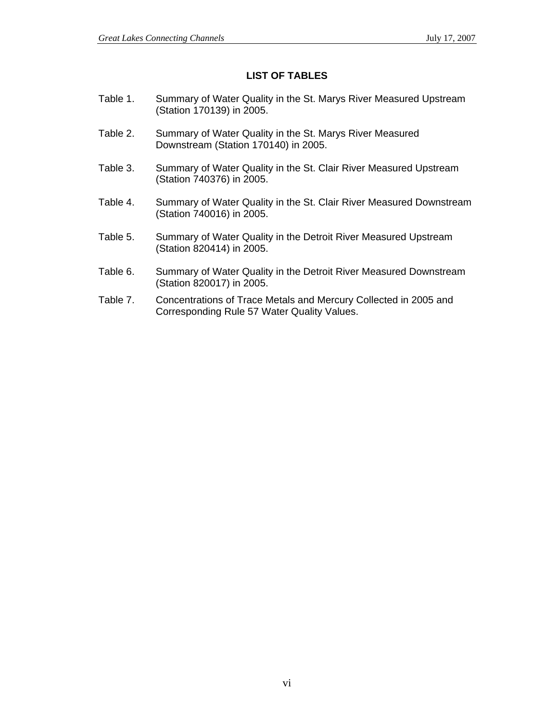#### **LIST OF TABLES**

- Table 1. Summary of Water Quality in the St. Marys River Measured Upstream (Station 170139) in 2005.
- Table 2. Summary of Water Quality in the St. Marys River Measured Downstream (Station 170140) in 2005.
- Table 3. Summary of Water Quality in the St. Clair River Measured Upstream (Station 740376) in 2005.
- Table 4. Summary of Water Quality in the St. Clair River Measured Downstream (Station 740016) in 2005.
- Table 5. Summary of Water Quality in the Detroit River Measured Upstream (Station 820414) in 2005.
- Table 6. Summary of Water Quality in the Detroit River Measured Downstream (Station 820017) in 2005.
- Table 7. Concentrations of Trace Metals and Mercury Collected in 2005 and Corresponding Rule 57 Water Quality Values.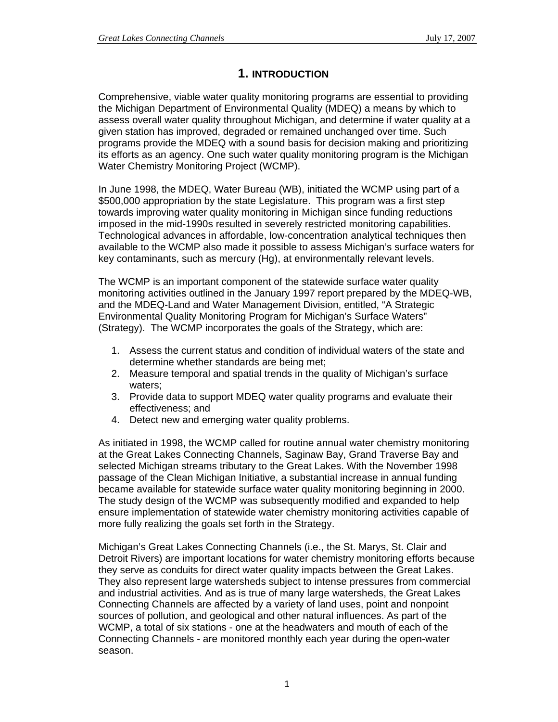## **1. INTRODUCTION**

Comprehensive, viable water quality monitoring programs are essential to providing the Michigan Department of Environmental Quality (MDEQ) a means by which to assess overall water quality throughout Michigan, and determine if water quality at a given station has improved, degraded or remained unchanged over time. Such programs provide the MDEQ with a sound basis for decision making and prioritizing its efforts as an agency. One such water quality monitoring program is the Michigan Water Chemistry Monitoring Project (WCMP).

In June 1998, the MDEQ, Water Bureau (WB), initiated the WCMP using part of a \$500,000 appropriation by the state Legislature. This program was a first step towards improving water quality monitoring in Michigan since funding reductions imposed in the mid-1990s resulted in severely restricted monitoring capabilities. Technological advances in affordable, low-concentration analytical techniques then available to the WCMP also made it possible to assess Michigan's surface waters for key contaminants, such as mercury (Hg), at environmentally relevant levels.

The WCMP is an important component of the statewide surface water quality monitoring activities outlined in the January 1997 report prepared by the MDEQ-WB, and the MDEQ-Land and Water Management Division, entitled, "A Strategic Environmental Quality Monitoring Program for Michigan's Surface Waters" (Strategy). The WCMP incorporates the goals of the Strategy, which are:

- 1. Assess the current status and condition of individual waters of the state and determine whether standards are being met;
- 2. Measure temporal and spatial trends in the quality of Michigan's surface waters;
- 3. Provide data to support MDEQ water quality programs and evaluate their effectiveness; and
- 4. Detect new and emerging water quality problems.

As initiated in 1998, the WCMP called for routine annual water chemistry monitoring at the Great Lakes Connecting Channels, Saginaw Bay, Grand Traverse Bay and selected Michigan streams tributary to the Great Lakes. With the November 1998 passage of the Clean Michigan Initiative, a substantial increase in annual funding became available for statewide surface water quality monitoring beginning in 2000. The study design of the WCMP was subsequently modified and expanded to help ensure implementation of statewide water chemistry monitoring activities capable of more fully realizing the goals set forth in the Strategy.

Michigan's Great Lakes Connecting Channels (i.e., the St. Marys, St. Clair and Detroit Rivers) are important locations for water chemistry monitoring efforts because they serve as conduits for direct water quality impacts between the Great Lakes. They also represent large watersheds subject to intense pressures from commercial and industrial activities. And as is true of many large watersheds, the Great Lakes Connecting Channels are affected by a variety of land uses, point and nonpoint sources of pollution, and geological and other natural influences. As part of the WCMP, a total of six stations - one at the headwaters and mouth of each of the Connecting Channels - are monitored monthly each year during the open-water season.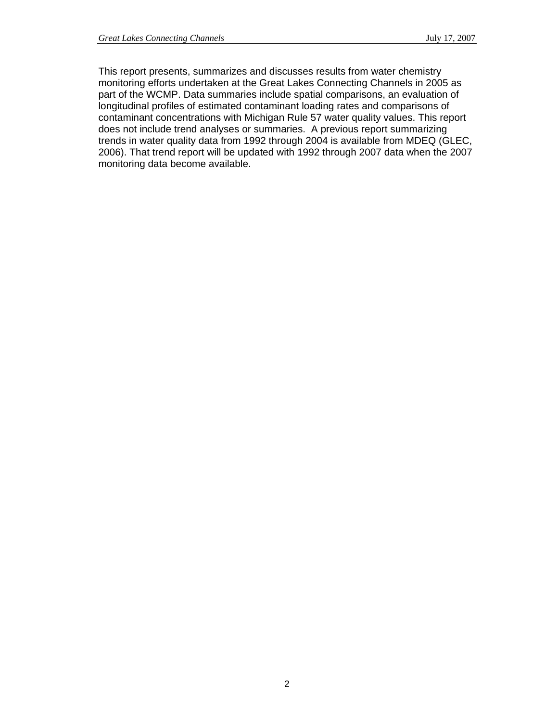This report presents, summarizes and discusses results from water chemistry monitoring efforts undertaken at the Great Lakes Connecting Channels in 2005 as part of the WCMP. Data summaries include spatial comparisons, an evaluation of longitudinal profiles of estimated contaminant loading rates and comparisons of contaminant concentrations with Michigan Rule 57 water quality values. This report does not include trend analyses or summaries. A previous report summarizing trends in water quality data from 1992 through 2004 is available from MDEQ (GLEC, 2006). That trend report will be updated with 1992 through 2007 data when the 2007 monitoring data become available.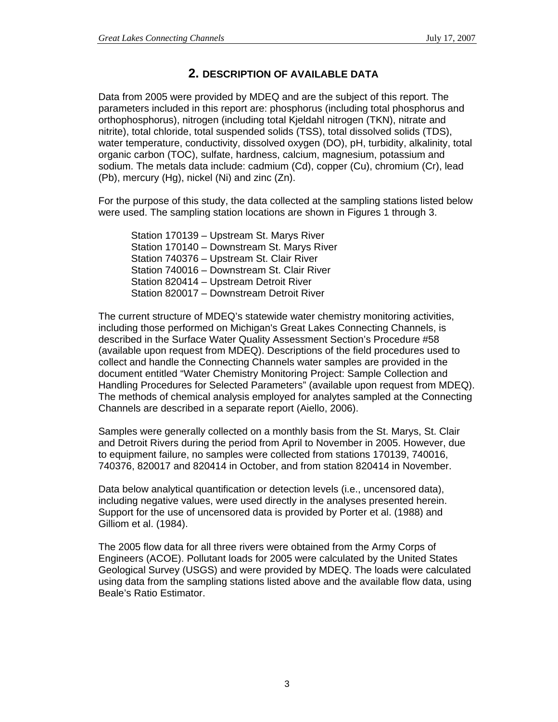## **2. DESCRIPTION OF AVAILABLE DATA**

Data from 2005 were provided by MDEQ and are the subject of this report. The parameters included in this report are: phosphorus (including total phosphorus and orthophosphorus), nitrogen (including total Kjeldahl nitrogen (TKN), nitrate and nitrite), total chloride, total suspended solids (TSS), total dissolved solids (TDS), water temperature, conductivity, dissolved oxygen (DO), pH, turbidity, alkalinity, total organic carbon (TOC), sulfate, hardness, calcium, magnesium, potassium and sodium. The metals data include: cadmium (Cd), copper (Cu), chromium (Cr), lead (Pb), mercury (Hg), nickel (Ni) and zinc (Zn).

For the purpose of this study, the data collected at the sampling stations listed below were used. The sampling station locations are shown in Figures 1 through 3.

Station 170139 – Upstream St. Marys River Station 170140 – Downstream St. Marys River Station 740376 – Upstream St. Clair River Station 740016 – Downstream St. Clair River Station 820414 – Upstream Detroit River Station 820017 – Downstream Detroit River

The current structure of MDEQ's statewide water chemistry monitoring activities, including those performed on Michigan's Great Lakes Connecting Channels, is described in the Surface Water Quality Assessment Section's Procedure #58 (available upon request from MDEQ). Descriptions of the field procedures used to collect and handle the Connecting Channels water samples are provided in the document entitled "Water Chemistry Monitoring Project: Sample Collection and Handling Procedures for Selected Parameters" (available upon request from MDEQ). The methods of chemical analysis employed for analytes sampled at the Connecting Channels are described in a separate report (Aiello, 2006).

Samples were generally collected on a monthly basis from the St. Marys, St. Clair and Detroit Rivers during the period from April to November in 2005. However, due to equipment failure, no samples were collected from stations 170139, 740016, 740376, 820017 and 820414 in October, and from station 820414 in November.

Data below analytical quantification or detection levels (i.e., uncensored data), including negative values, were used directly in the analyses presented herein. Support for the use of uncensored data is provided by Porter et al. (1988) and Gilliom et al. (1984).

The 2005 flow data for all three rivers were obtained from the Army Corps of Engineers (ACOE). Pollutant loads for 2005 were calculated by the United States Geological Survey (USGS) and were provided by MDEQ. The loads were calculated using data from the sampling stations listed above and the available flow data, using Beale's Ratio Estimator.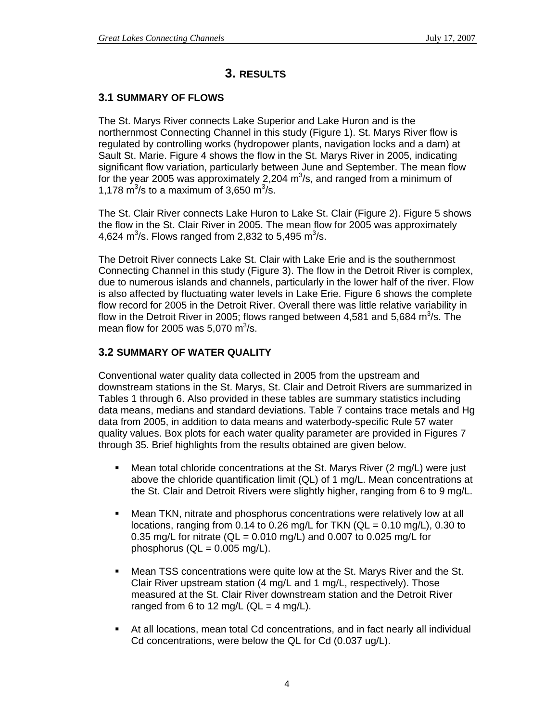## **3. RESULTS**

#### **3.1 SUMMARY OF FLOWS**

The St. Marys River connects Lake Superior and Lake Huron and is the northernmost Connecting Channel in this study (Figure 1). St. Marys River flow is regulated by controlling works (hydropower plants, navigation locks and a dam) at Sault St. Marie. Figure 4 shows the flow in the St. Marys River in 2005, indicating significant flow variation, particularly between June and September. The mean flow for the year 2005 was approximately 2,204  $m<sup>3</sup>/s$ , and ranged from a minimum of 1,178  $\text{m}^3/\text{s}$  to a maximum of 3,650  $\text{m}^3/\text{s}$ .

The St. Clair River connects Lake Huron to Lake St. Clair (Figure 2). Figure 5 shows the flow in the St. Clair River in 2005. The mean flow for 2005 was approximately 4,624 m<sup>3</sup>/s. Flows ranged from 2,832 to 5,495 m<sup>3</sup>/s.

The Detroit River connects Lake St. Clair with Lake Erie and is the southernmost Connecting Channel in this study (Figure 3). The flow in the Detroit River is complex, due to numerous islands and channels, particularly in the lower half of the river. Flow is also affected by fluctuating water levels in Lake Erie. Figure 6 shows the complete flow record for 2005 in the Detroit River. Overall there was little relative variability in flow in the Detroit River in 2005; flows ranged between 4,581 and 5,684  $\text{m}^3\text{/s}$ . The mean flow for 2005 was 5,070  $\text{m}^3\text{/s}$ .

#### **3.2 SUMMARY OF WATER QUALITY**

Conventional water quality data collected in 2005 from the upstream and downstream stations in the St. Marys, St. Clair and Detroit Rivers are summarized in Tables 1 through 6. Also provided in these tables are summary statistics including data means, medians and standard deviations. Table 7 contains trace metals and Hg data from 2005, in addition to data means and waterbody-specific Rule 57 water quality values. Box plots for each water quality parameter are provided in Figures 7 through 35. Brief highlights from the results obtained are given below.

- Mean total chloride concentrations at the St. Marys River (2 mg/L) were just above the chloride quantification limit (QL) of 1 mg/L. Mean concentrations at the St. Clair and Detroit Rivers were slightly higher, ranging from 6 to 9 mg/L.
- Mean TKN, nitrate and phosphorus concentrations were relatively low at all locations, ranging from 0.14 to 0.26 mg/L for TKN ( $QL = 0.10$  mg/L), 0.30 to 0.35 mg/L for nitrate ( $QL = 0.010$  mg/L) and 0.007 to 0.025 mg/L for phosphorus  $(QL = 0.005$  mg/L).
- **Mean TSS concentrations were quite low at the St. Marys River and the St.** Clair River upstream station (4 mg/L and 1 mg/L, respectively). Those measured at the St. Clair River downstream station and the Detroit River ranged from 6 to 12 mg/L ( $QL = 4$  mg/L).
- At all locations, mean total Cd concentrations, and in fact nearly all individual Cd concentrations, were below the QL for Cd (0.037 ug/L).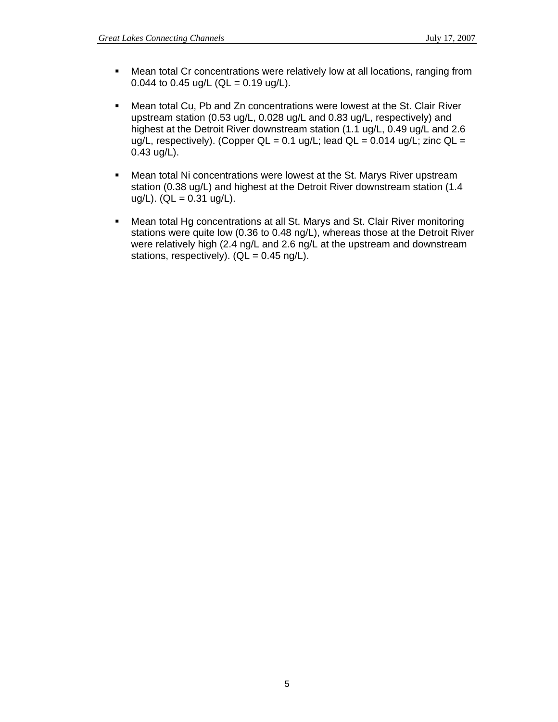- Mean total Cr concentrations were relatively low at all locations, ranging from 0.044 to 0.45 ug/L (QL = 0.19 ug/L).
- Mean total Cu, Pb and Zn concentrations were lowest at the St. Clair River upstream station (0.53 ug/L, 0.028 ug/L and 0.83 ug/L, respectively) and highest at the Detroit River downstream station (1.1 ug/L, 0.49 ug/L and 2.6 ug/L, respectively). (Copper QL =  $0.1$  ug/L; lead QL =  $0.014$  ug/L; zinc QL = 0.43 ug/L).
- **Mean total Ni concentrations were lowest at the St. Marys River upstream** station (0.38 ug/L) and highest at the Detroit River downstream station (1.4  $uq/L$ ). (QL = 0.31  $uq/L$ ).
- Mean total Hg concentrations at all St. Marys and St. Clair River monitoring stations were quite low (0.36 to 0.48 ng/L), whereas those at the Detroit River were relatively high (2.4 ng/L and 2.6 ng/L at the upstream and downstream stations, respectively).  $(QL = 0.45 \text{ ng/L})$ .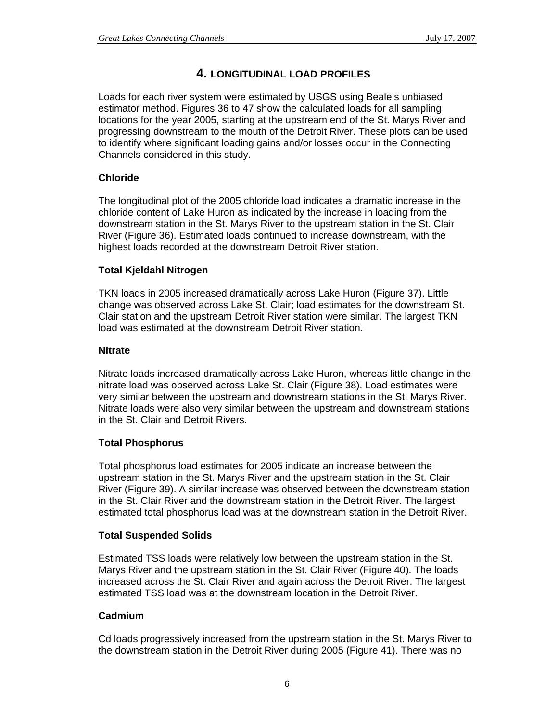## **4. LONGITUDINAL LOAD PROFILES**

Loads for each river system were estimated by USGS using Beale's unbiased estimator method. Figures 36 to 47 show the calculated loads for all sampling locations for the year 2005, starting at the upstream end of the St. Marys River and progressing downstream to the mouth of the Detroit River. These plots can be used to identify where significant loading gains and/or losses occur in the Connecting Channels considered in this study.

## **Chloride**

The longitudinal plot of the 2005 chloride load indicates a dramatic increase in the chloride content of Lake Huron as indicated by the increase in loading from the downstream station in the St. Marys River to the upstream station in the St. Clair River (Figure 36). Estimated loads continued to increase downstream, with the highest loads recorded at the downstream Detroit River station.

## **Total Kjeldahl Nitrogen**

TKN loads in 2005 increased dramatically across Lake Huron (Figure 37). Little change was observed across Lake St. Clair; load estimates for the downstream St. Clair station and the upstream Detroit River station were similar. The largest TKN load was estimated at the downstream Detroit River station.

## **Nitrate**

Nitrate loads increased dramatically across Lake Huron, whereas little change in the nitrate load was observed across Lake St. Clair (Figure 38). Load estimates were very similar between the upstream and downstream stations in the St. Marys River. Nitrate loads were also very similar between the upstream and downstream stations in the St. Clair and Detroit Rivers.

## **Total Phosphorus**

Total phosphorus load estimates for 2005 indicate an increase between the upstream station in the St. Marys River and the upstream station in the St. Clair River (Figure 39). A similar increase was observed between the downstream station in the St. Clair River and the downstream station in the Detroit River. The largest estimated total phosphorus load was at the downstream station in the Detroit River.

## **Total Suspended Solids**

Estimated TSS loads were relatively low between the upstream station in the St. Marys River and the upstream station in the St. Clair River (Figure 40). The loads increased across the St. Clair River and again across the Detroit River. The largest estimated TSS load was at the downstream location in the Detroit River.

## **Cadmium**

Cd loads progressively increased from the upstream station in the St. Marys River to the downstream station in the Detroit River during 2005 (Figure 41). There was no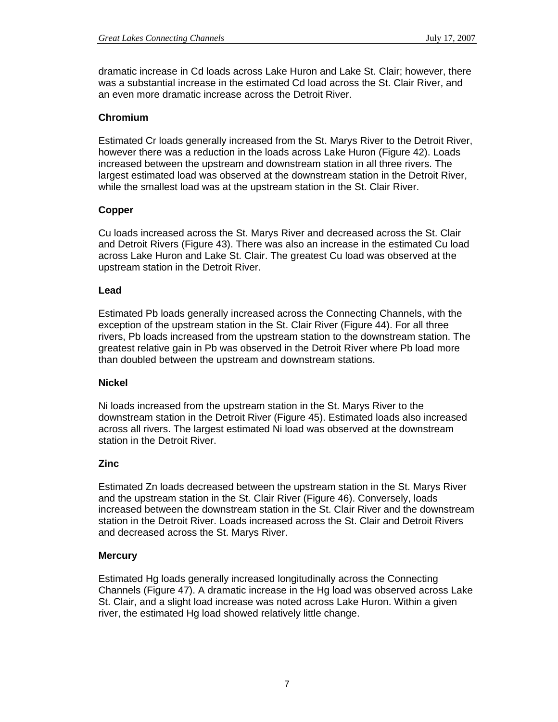dramatic increase in Cd loads across Lake Huron and Lake St. Clair; however, there was a substantial increase in the estimated Cd load across the St. Clair River, and an even more dramatic increase across the Detroit River.

#### **Chromium**

Estimated Cr loads generally increased from the St. Marys River to the Detroit River, however there was a reduction in the loads across Lake Huron (Figure 42). Loads increased between the upstream and downstream station in all three rivers. The largest estimated load was observed at the downstream station in the Detroit River, while the smallest load was at the upstream station in the St. Clair River.

#### **Copper**

Cu loads increased across the St. Marys River and decreased across the St. Clair and Detroit Rivers (Figure 43). There was also an increase in the estimated Cu load across Lake Huron and Lake St. Clair. The greatest Cu load was observed at the upstream station in the Detroit River.

#### **Lead**

Estimated Pb loads generally increased across the Connecting Channels, with the exception of the upstream station in the St. Clair River (Figure 44). For all three rivers, Pb loads increased from the upstream station to the downstream station. The greatest relative gain in Pb was observed in the Detroit River where Pb load more than doubled between the upstream and downstream stations.

#### **Nickel**

Ni loads increased from the upstream station in the St. Marys River to the downstream station in the Detroit River (Figure 45). Estimated loads also increased across all rivers. The largest estimated Ni load was observed at the downstream station in the Detroit River.

#### **Zinc**

Estimated Zn loads decreased between the upstream station in the St. Marys River and the upstream station in the St. Clair River (Figure 46). Conversely, loads increased between the downstream station in the St. Clair River and the downstream station in the Detroit River. Loads increased across the St. Clair and Detroit Rivers and decreased across the St. Marys River.

#### **Mercury**

Estimated Hg loads generally increased longitudinally across the Connecting Channels (Figure 47). A dramatic increase in the Hg load was observed across Lake St. Clair, and a slight load increase was noted across Lake Huron. Within a given river, the estimated Hg load showed relatively little change.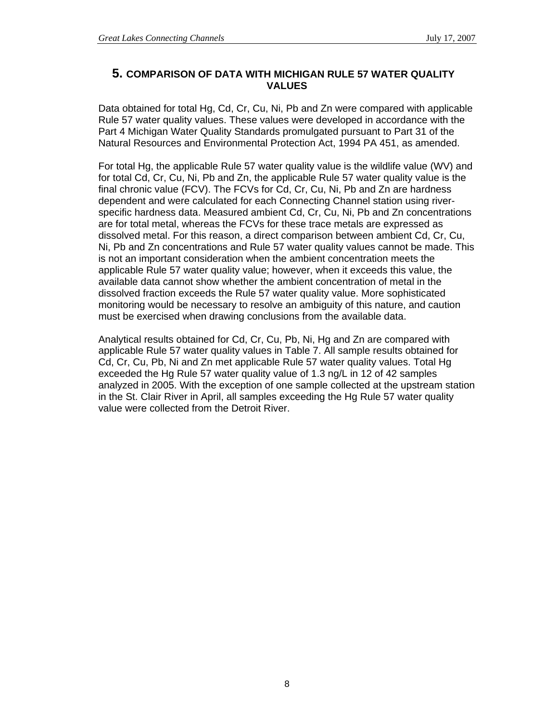## **5. COMPARISON OF DATA WITH MICHIGAN RULE 57 WATER QUALITY VALUES**

Data obtained for total Hg, Cd, Cr, Cu, Ni, Pb and Zn were compared with applicable Rule 57 water quality values. These values were developed in accordance with the Part 4 Michigan Water Quality Standards promulgated pursuant to Part 31 of the Natural Resources and Environmental Protection Act, 1994 PA 451, as amended.

For total Hg, the applicable Rule 57 water quality value is the wildlife value (WV) and for total Cd, Cr, Cu, Ni, Pb and Zn, the applicable Rule 57 water quality value is the final chronic value (FCV). The FCVs for Cd, Cr, Cu, Ni, Pb and Zn are hardness dependent and were calculated for each Connecting Channel station using riverspecific hardness data. Measured ambient Cd, Cr, Cu, Ni, Pb and Zn concentrations are for total metal, whereas the FCVs for these trace metals are expressed as dissolved metal. For this reason, a direct comparison between ambient Cd, Cr, Cu, Ni, Pb and Zn concentrations and Rule 57 water quality values cannot be made. This is not an important consideration when the ambient concentration meets the applicable Rule 57 water quality value; however, when it exceeds this value, the available data cannot show whether the ambient concentration of metal in the dissolved fraction exceeds the Rule 57 water quality value. More sophisticated monitoring would be necessary to resolve an ambiguity of this nature, and caution must be exercised when drawing conclusions from the available data.

Analytical results obtained for Cd, Cr, Cu, Pb, Ni, Hg and Zn are compared with applicable Rule 57 water quality values in Table 7. All sample results obtained for Cd, Cr, Cu, Pb, Ni and Zn met applicable Rule 57 water quality values. Total Hg exceeded the Hg Rule 57 water quality value of 1.3 ng/L in 12 of 42 samples analyzed in 2005. With the exception of one sample collected at the upstream station in the St. Clair River in April, all samples exceeding the Hg Rule 57 water quality value were collected from the Detroit River.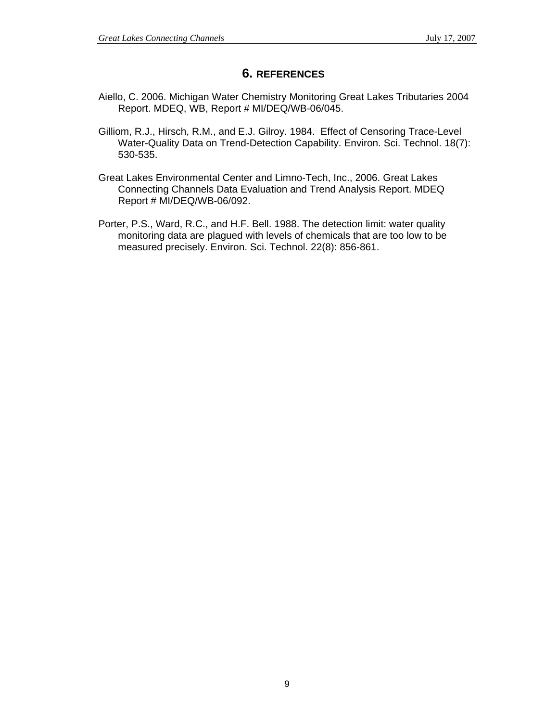## **6. REFERENCES**

- Aiello, C. 2006. Michigan Water Chemistry Monitoring Great Lakes Tributaries 2004 Report. MDEQ, WB, Report # MI/DEQ/WB-06/045.
- Gilliom, R.J., Hirsch, R.M., and E.J. Gilroy. 1984. Effect of Censoring Trace-Level Water-Quality Data on Trend-Detection Capability. Environ. Sci. Technol. 18(7): 530-535.
- Great Lakes Environmental Center and Limno-Tech, Inc., 2006. Great Lakes Connecting Channels Data Evaluation and Trend Analysis Report. MDEQ Report # MI/DEQ/WB-06/092.
- Porter, P.S., Ward, R.C., and H.F. Bell. 1988. The detection limit: water quality monitoring data are plagued with levels of chemicals that are too low to be measured precisely. Environ. Sci. Technol. 22(8): 856-861.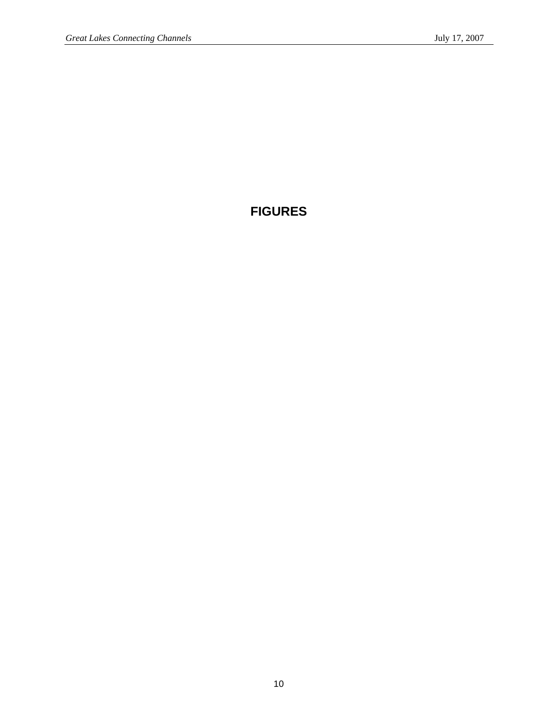# **FIGURES**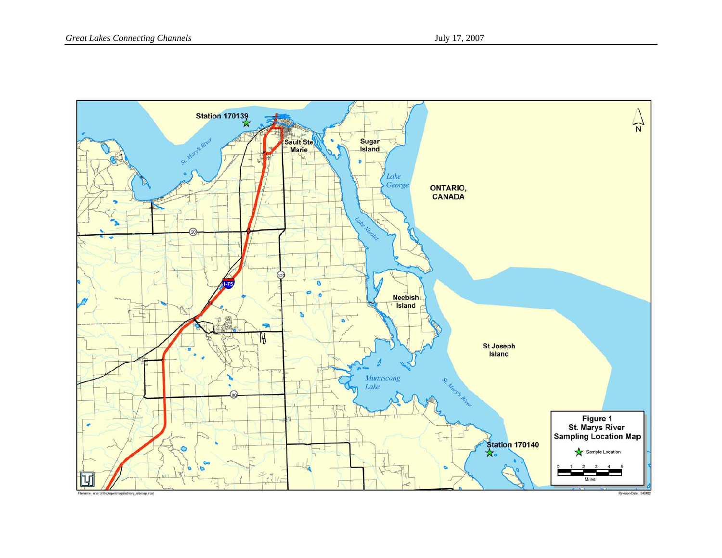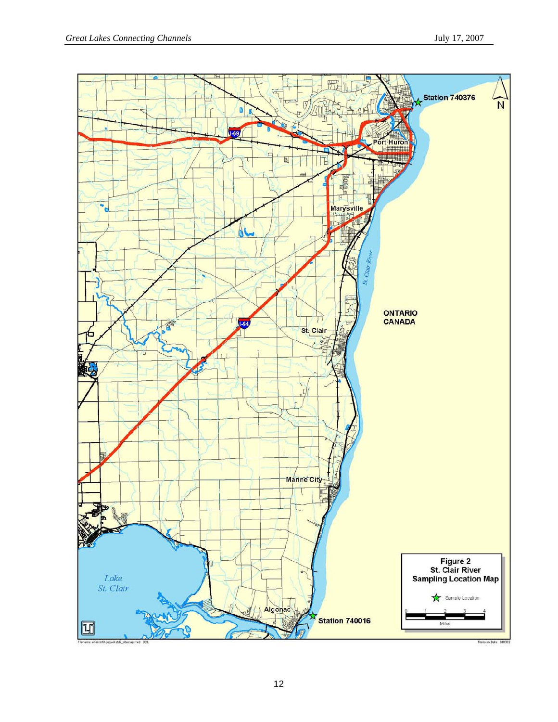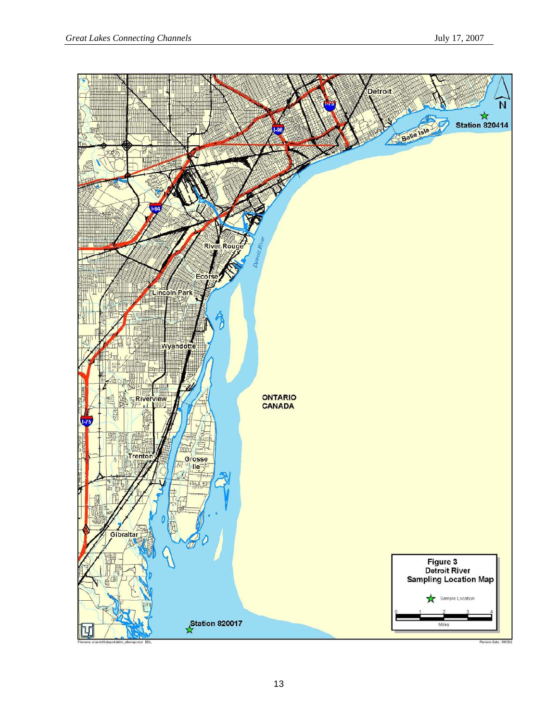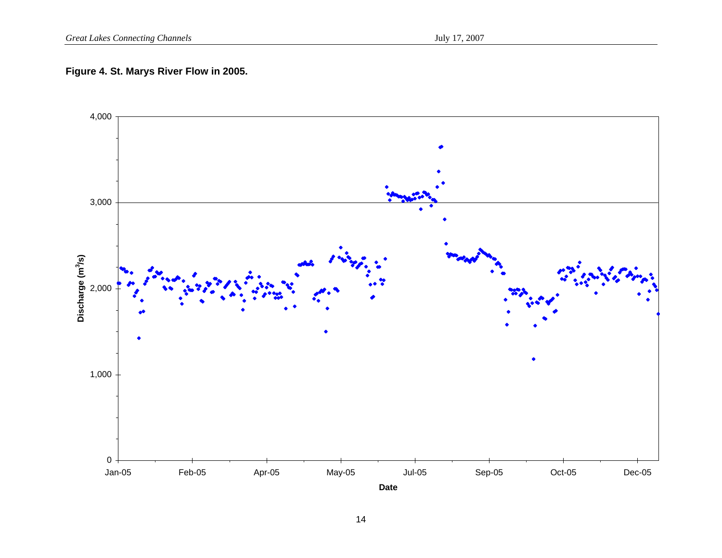## **Figure 4. St. Marys River Flow in 2005.**

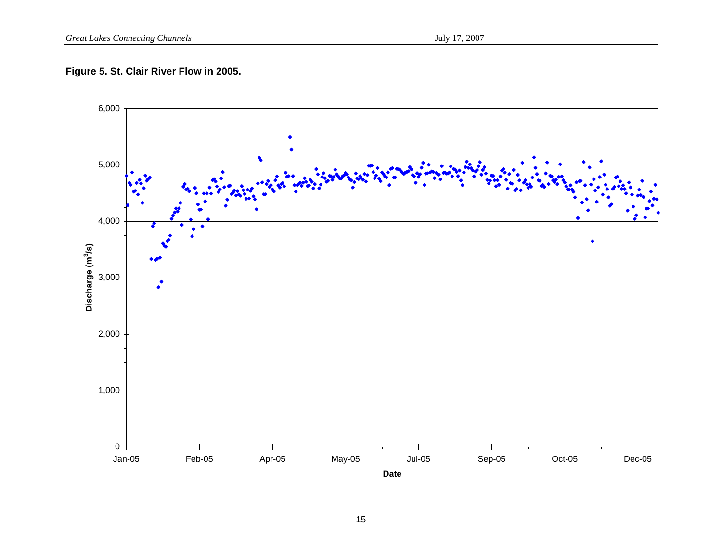## **Figure 5. St. Clair River Flow in 2005.**

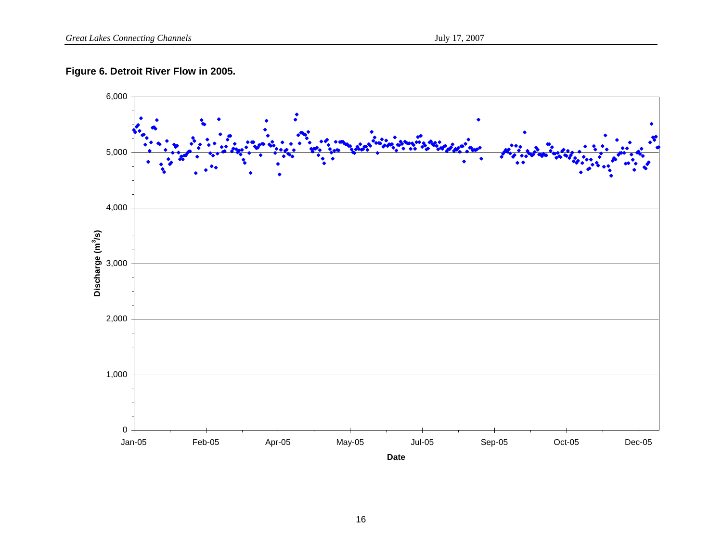## **Figure 6. Detroit River Flow in 2005.**

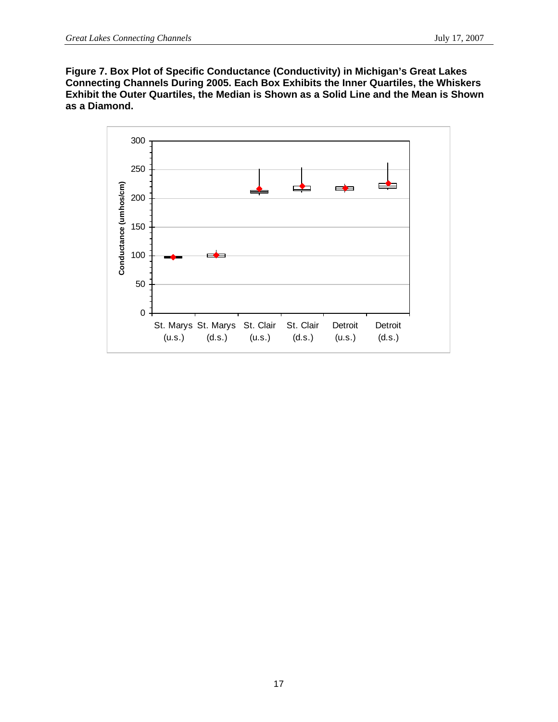**Figure 7. Box Plot of Specific Conductance (Conductivity) in Michigan's Great Lakes Connecting Channels During 2005. Each Box Exhibits the Inner Quartiles, the Whiskers Exhibit the Outer Quartiles, the Median is Shown as a Solid Line and the Mean is Shown as a Diamond.** 

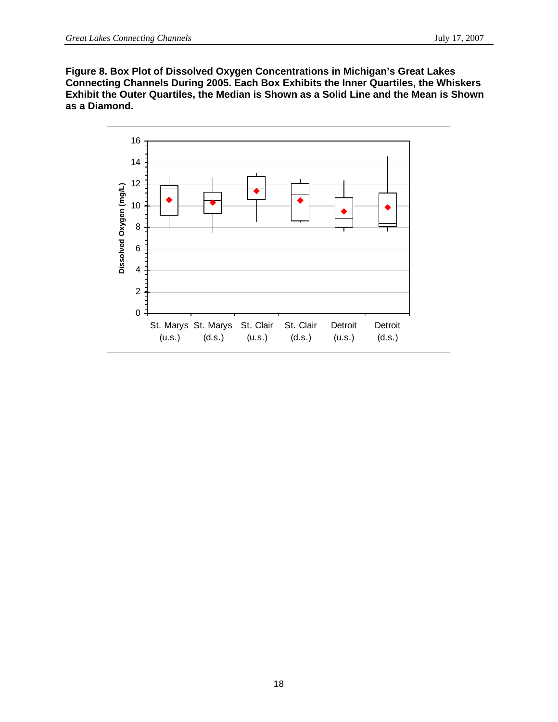**Figure 8. Box Plot of Dissolved Oxygen Concentrations in Michigan's Great Lakes Connecting Channels During 2005. Each Box Exhibits the Inner Quartiles, the Whiskers Exhibit the Outer Quartiles, the Median is Shown as a Solid Line and the Mean is Shown as a Diamond.** 

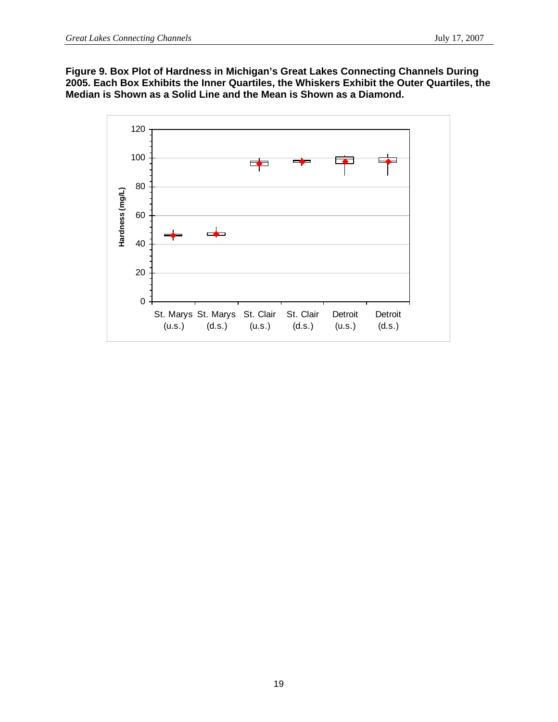**Figure 9. Box Plot of Hardness in Michigan's Great Lakes Connecting Channels During 2005. Each Box Exhibits the Inner Quartiles, the Whiskers Exhibit the Outer Quartiles, the Median is Shown as a Solid Line and the Mean is Shown as a Diamond.** 

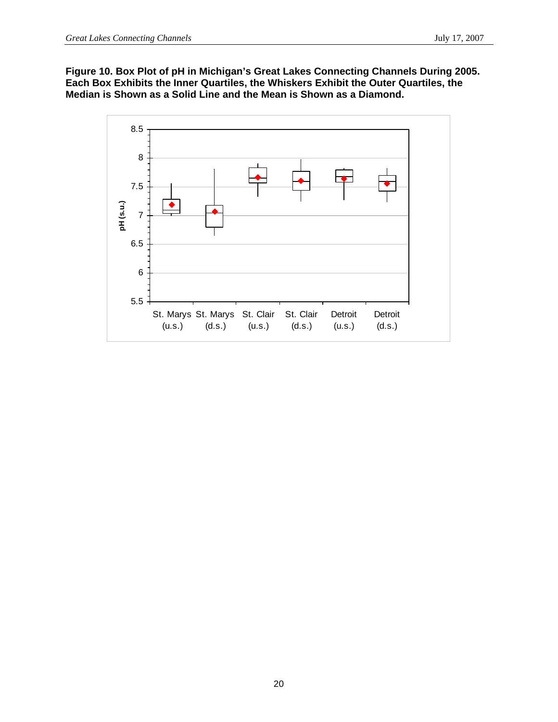**Figure 10. Box Plot of pH in Michigan's Great Lakes Connecting Channels During 2005. Each Box Exhibits the Inner Quartiles, the Whiskers Exhibit the Outer Quartiles, the Median is Shown as a Solid Line and the Mean is Shown as a Diamond.** 

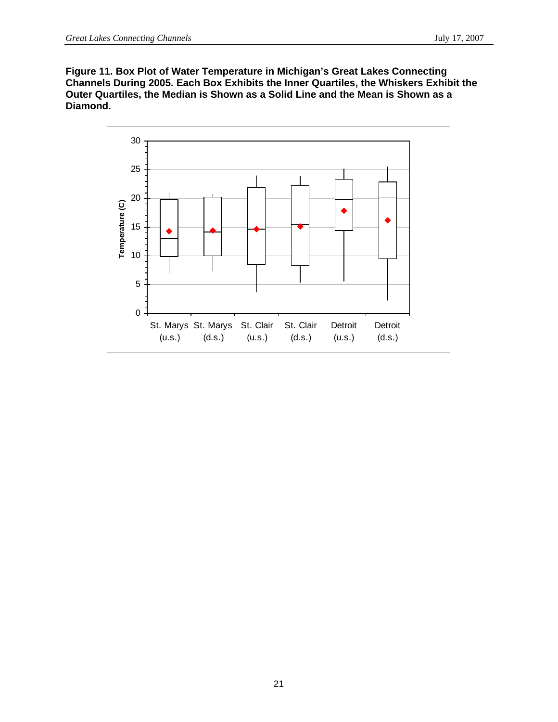**Figure 11. Box Plot of Water Temperature in Michigan's Great Lakes Connecting Channels During 2005. Each Box Exhibits the Inner Quartiles, the Whiskers Exhibit the Outer Quartiles, the Median is Shown as a Solid Line and the Mean is Shown as a Diamond.** 

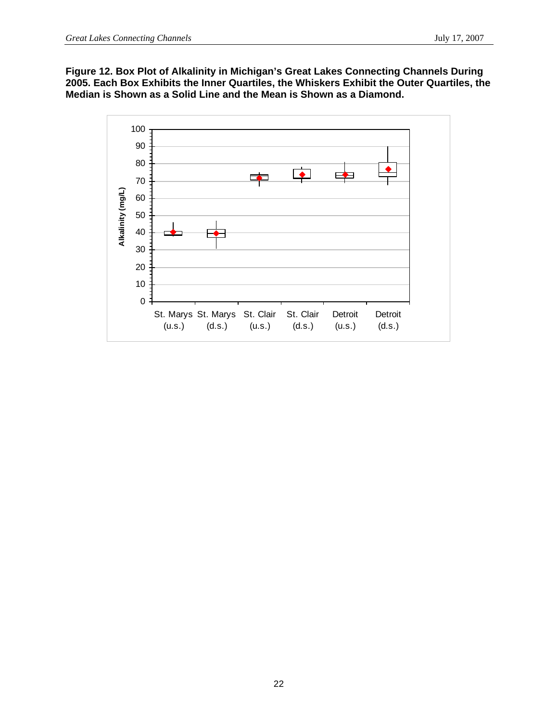**Figure 12. Box Plot of Alkalinity in Michigan's Great Lakes Connecting Channels During 2005. Each Box Exhibits the Inner Quartiles, the Whiskers Exhibit the Outer Quartiles, the Median is Shown as a Solid Line and the Mean is Shown as a Diamond.** 

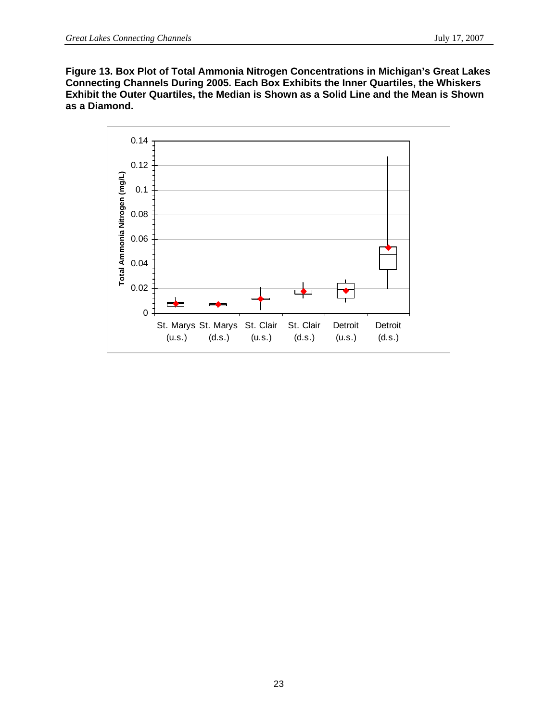**Figure 13. Box Plot of Total Ammonia Nitrogen Concentrations in Michigan's Great Lakes Connecting Channels During 2005. Each Box Exhibits the Inner Quartiles, the Whiskers Exhibit the Outer Quartiles, the Median is Shown as a Solid Line and the Mean is Shown as a Diamond.** 

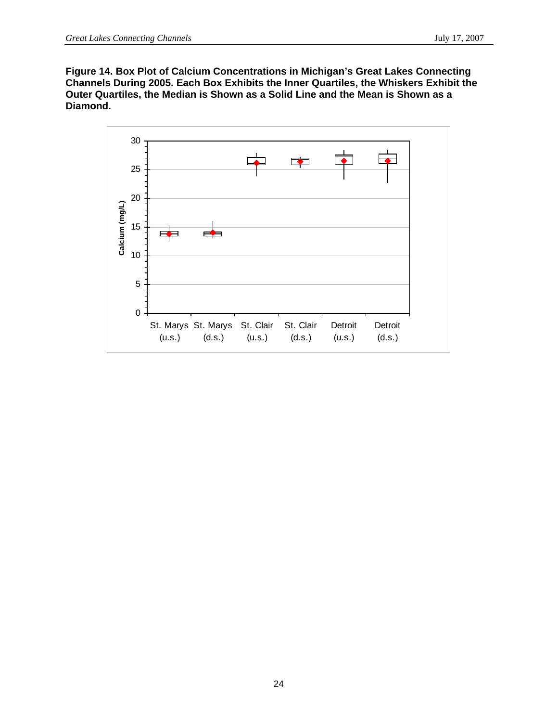**Figure 14. Box Plot of Calcium Concentrations in Michigan's Great Lakes Connecting Channels During 2005. Each Box Exhibits the Inner Quartiles, the Whiskers Exhibit the Outer Quartiles, the Median is Shown as a Solid Line and the Mean is Shown as a Diamond.** 

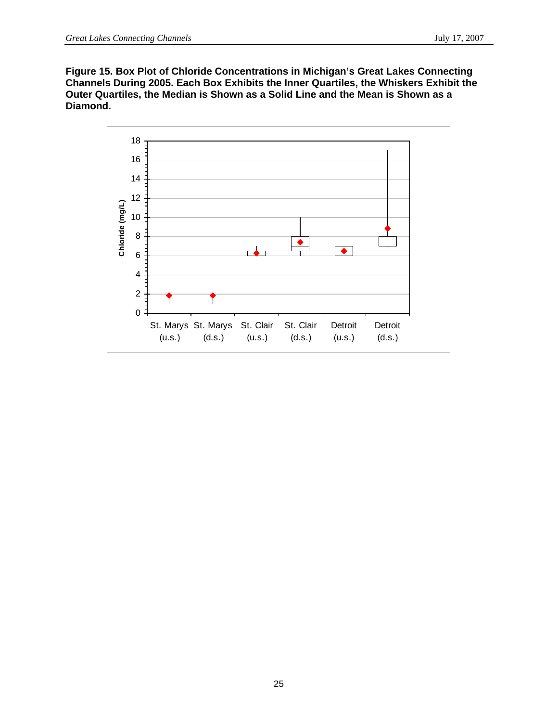**Figure 15. Box Plot of Chloride Concentrations in Michigan's Great Lakes Connecting Channels During 2005. Each Box Exhibits the Inner Quartiles, the Whiskers Exhibit the Outer Quartiles, the Median is Shown as a Solid Line and the Mean is Shown as a Diamond.** 

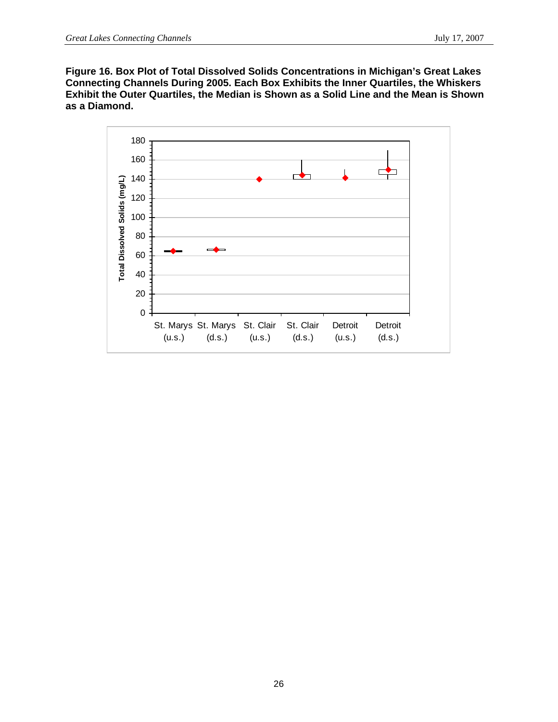**Figure 16. Box Plot of Total Dissolved Solids Concentrations in Michigan's Great Lakes Connecting Channels During 2005. Each Box Exhibits the Inner Quartiles, the Whiskers Exhibit the Outer Quartiles, the Median is Shown as a Solid Line and the Mean is Shown as a Diamond.** 

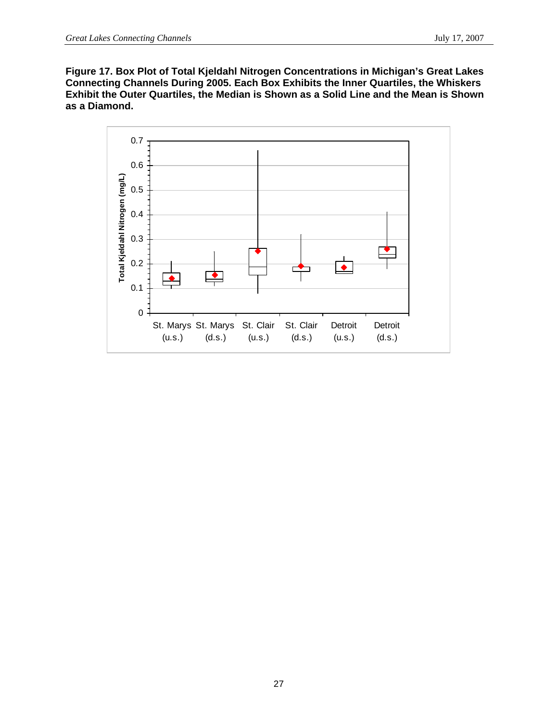**Figure 17. Box Plot of Total Kjeldahl Nitrogen Concentrations in Michigan's Great Lakes Connecting Channels During 2005. Each Box Exhibits the Inner Quartiles, the Whiskers Exhibit the Outer Quartiles, the Median is Shown as a Solid Line and the Mean is Shown as a Diamond.** 

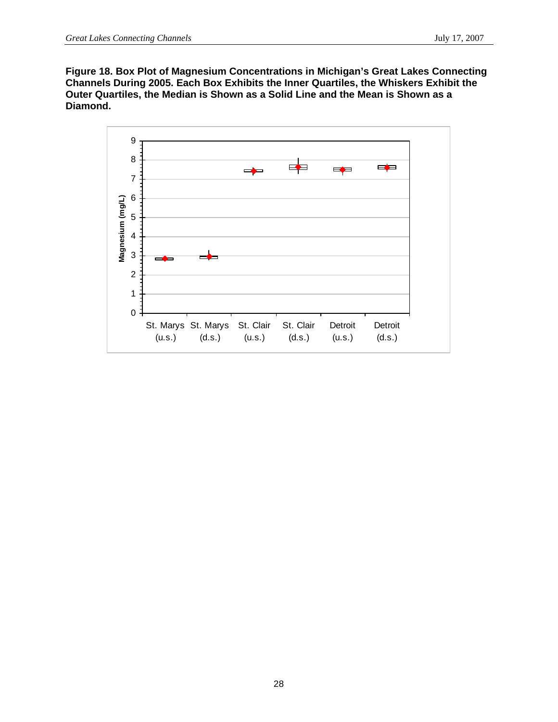**Figure 18. Box Plot of Magnesium Concentrations in Michigan's Great Lakes Connecting Channels During 2005. Each Box Exhibits the Inner Quartiles, the Whiskers Exhibit the Outer Quartiles, the Median is Shown as a Solid Line and the Mean is Shown as a Diamond.** 

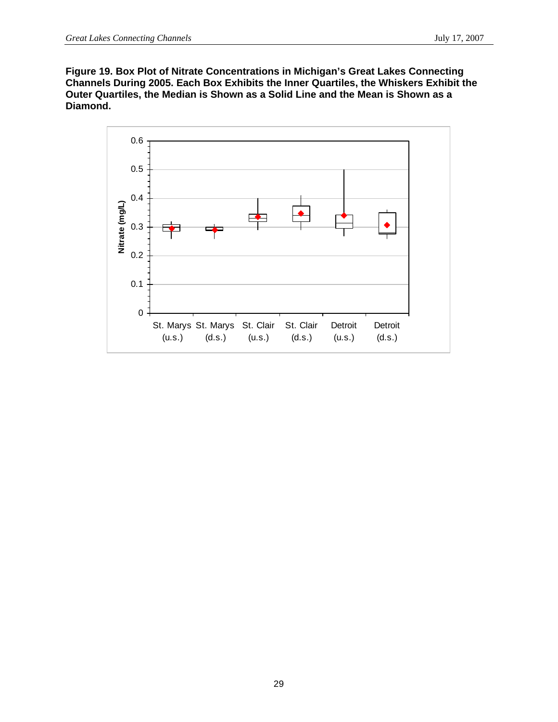**Figure 19. Box Plot of Nitrate Concentrations in Michigan's Great Lakes Connecting Channels During 2005. Each Box Exhibits the Inner Quartiles, the Whiskers Exhibit the Outer Quartiles, the Median is Shown as a Solid Line and the Mean is Shown as a Diamond.** 

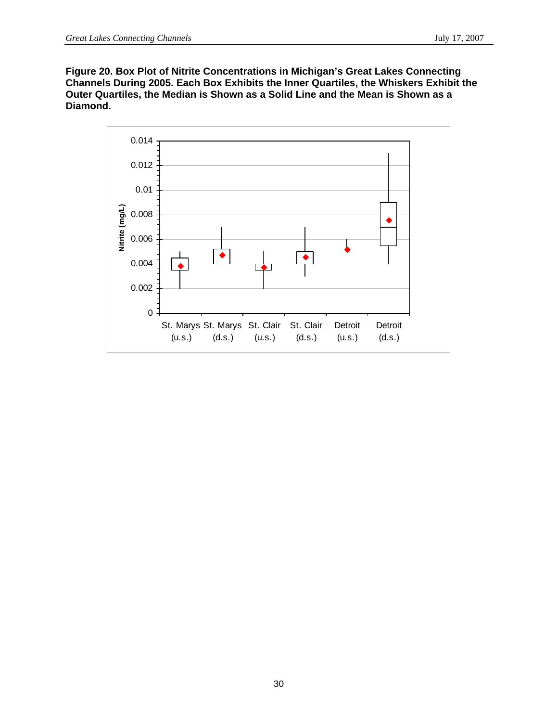**Figure 20. Box Plot of Nitrite Concentrations in Michigan's Great Lakes Connecting Channels During 2005. Each Box Exhibits the Inner Quartiles, the Whiskers Exhibit the Outer Quartiles, the Median is Shown as a Solid Line and the Mean is Shown as a Diamond.** 

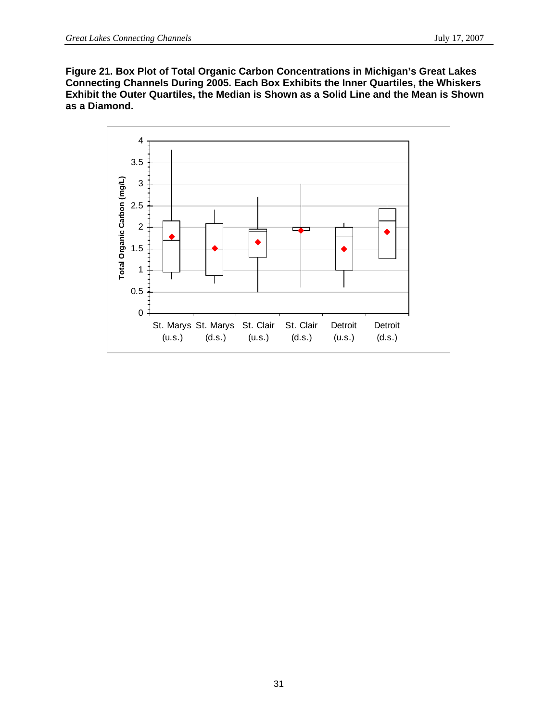**Figure 21. Box Plot of Total Organic Carbon Concentrations in Michigan's Great Lakes Connecting Channels During 2005. Each Box Exhibits the Inner Quartiles, the Whiskers Exhibit the Outer Quartiles, the Median is Shown as a Solid Line and the Mean is Shown as a Diamond.** 

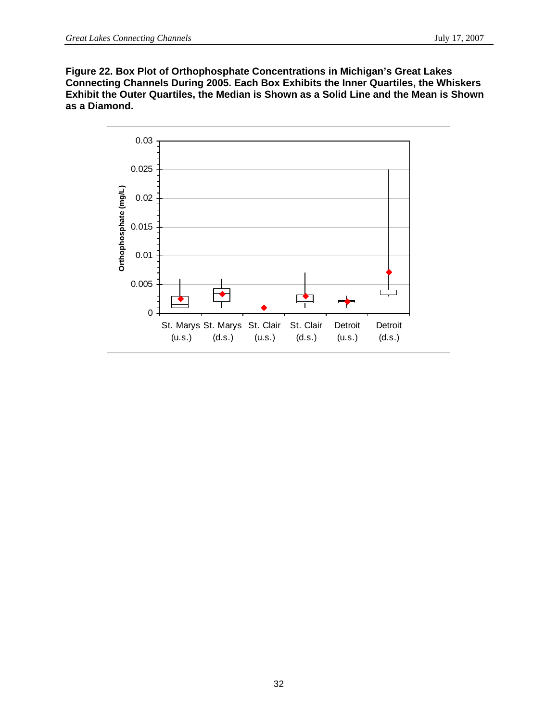**Figure 22. Box Plot of Orthophosphate Concentrations in Michigan's Great Lakes Connecting Channels During 2005. Each Box Exhibits the Inner Quartiles, the Whiskers Exhibit the Outer Quartiles, the Median is Shown as a Solid Line and the Mean is Shown as a Diamond.** 

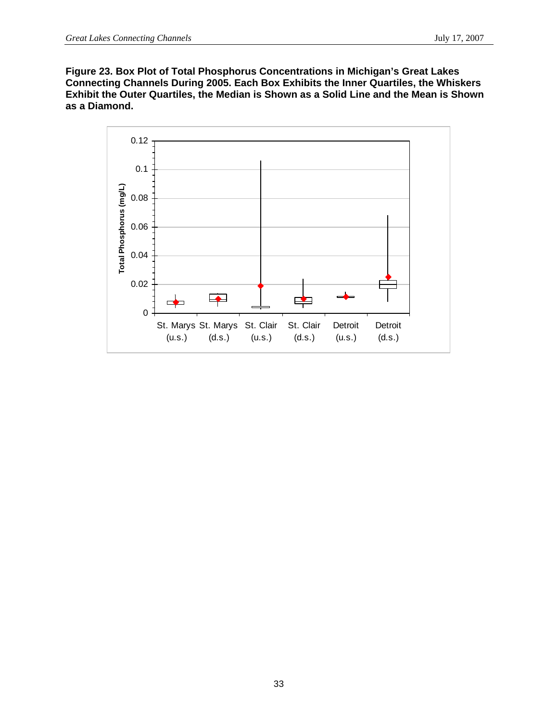**Figure 23. Box Plot of Total Phosphorus Concentrations in Michigan's Great Lakes Connecting Channels During 2005. Each Box Exhibits the Inner Quartiles, the Whiskers Exhibit the Outer Quartiles, the Median is Shown as a Solid Line and the Mean is Shown as a Diamond.** 

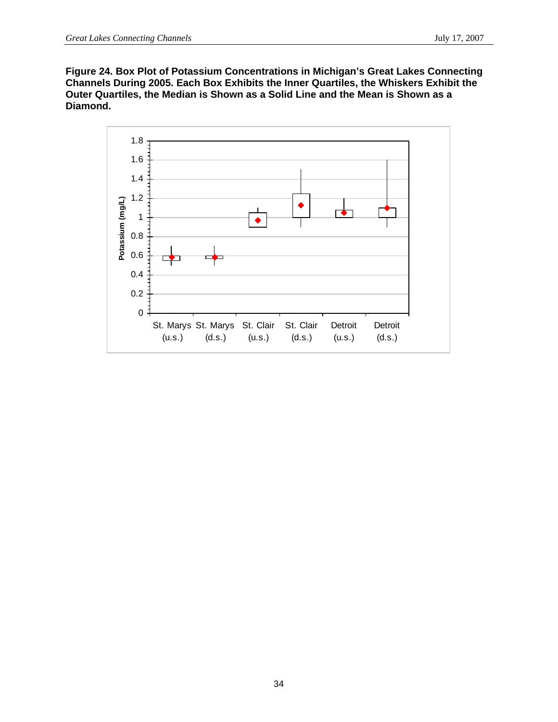**Figure 24. Box Plot of Potassium Concentrations in Michigan's Great Lakes Connecting Channels During 2005. Each Box Exhibits the Inner Quartiles, the Whiskers Exhibit the Outer Quartiles, the Median is Shown as a Solid Line and the Mean is Shown as a Diamond.** 

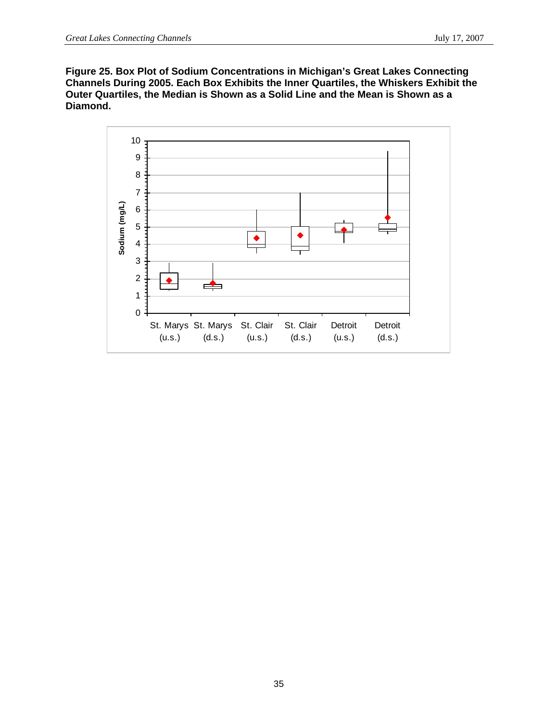**Figure 25. Box Plot of Sodium Concentrations in Michigan's Great Lakes Connecting Channels During 2005. Each Box Exhibits the Inner Quartiles, the Whiskers Exhibit the Outer Quartiles, the Median is Shown as a Solid Line and the Mean is Shown as a Diamond.** 

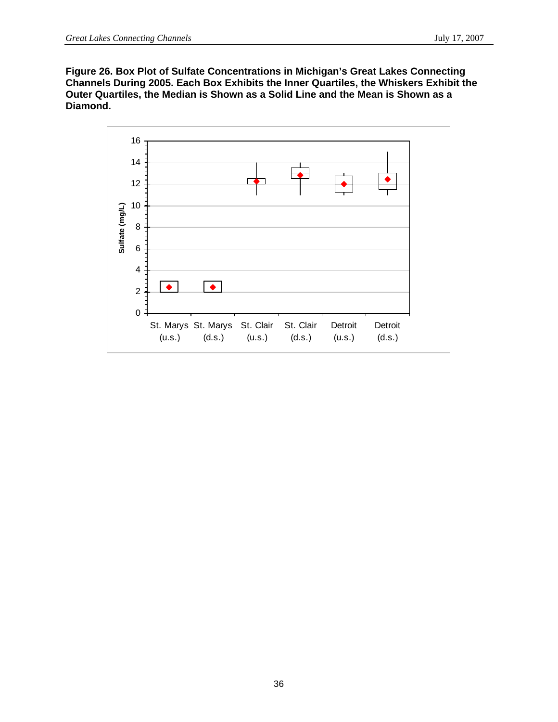**Figure 26. Box Plot of Sulfate Concentrations in Michigan's Great Lakes Connecting Channels During 2005. Each Box Exhibits the Inner Quartiles, the Whiskers Exhibit the Outer Quartiles, the Median is Shown as a Solid Line and the Mean is Shown as a Diamond.** 

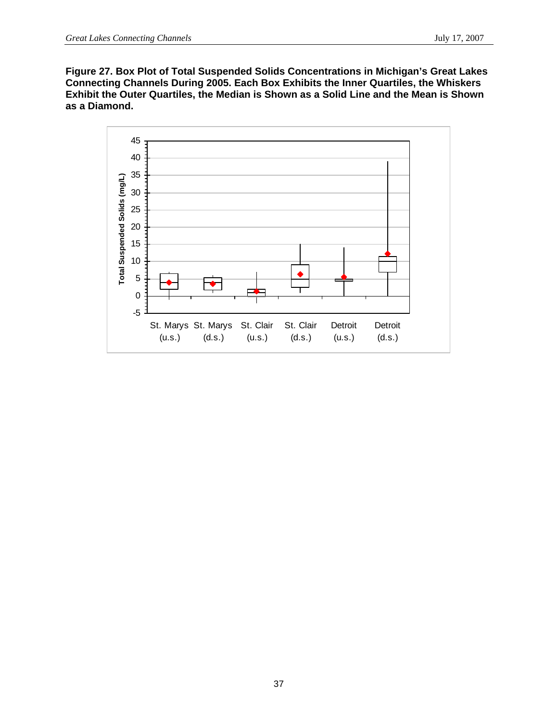**Figure 27. Box Plot of Total Suspended Solids Concentrations in Michigan's Great Lakes Connecting Channels During 2005. Each Box Exhibits the Inner Quartiles, the Whiskers Exhibit the Outer Quartiles, the Median is Shown as a Solid Line and the Mean is Shown as a Diamond.** 

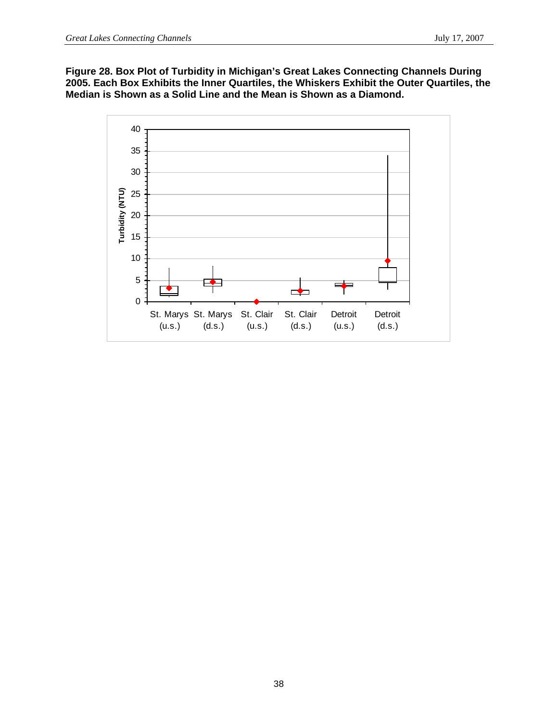**Figure 28. Box Plot of Turbidity in Michigan's Great Lakes Connecting Channels During 2005. Each Box Exhibits the Inner Quartiles, the Whiskers Exhibit the Outer Quartiles, the Median is Shown as a Solid Line and the Mean is Shown as a Diamond.** 

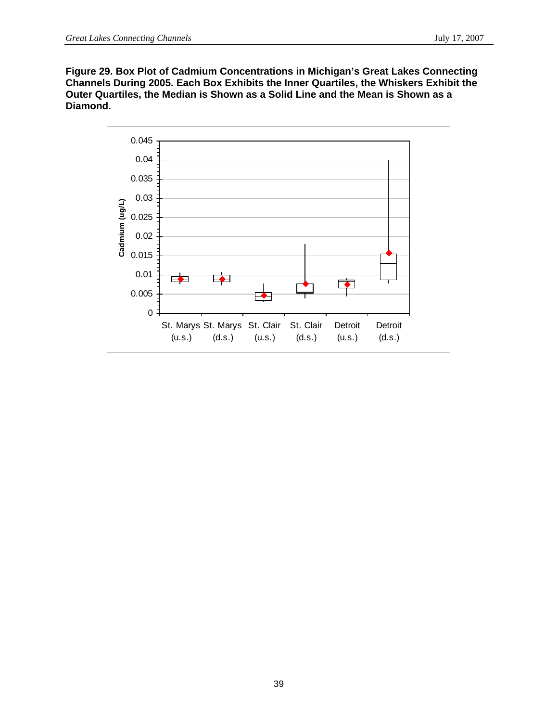**Figure 29. Box Plot of Cadmium Concentrations in Michigan's Great Lakes Connecting Channels During 2005. Each Box Exhibits the Inner Quartiles, the Whiskers Exhibit the Outer Quartiles, the Median is Shown as a Solid Line and the Mean is Shown as a Diamond.** 

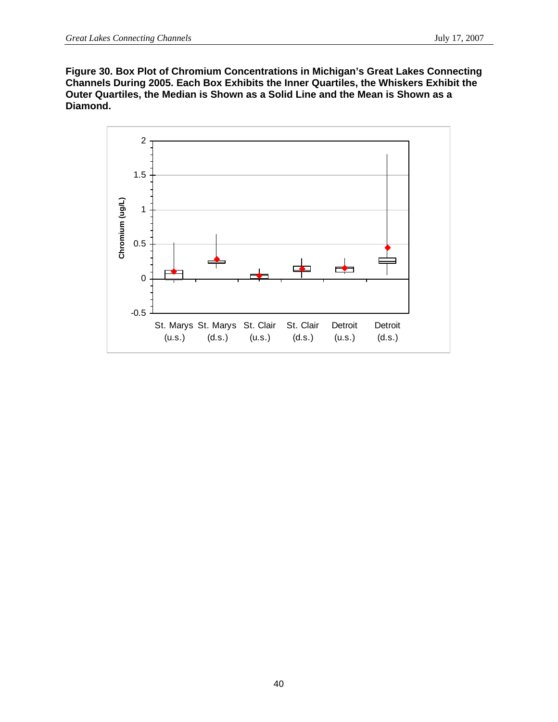**Figure 30. Box Plot of Chromium Concentrations in Michigan's Great Lakes Connecting Channels During 2005. Each Box Exhibits the Inner Quartiles, the Whiskers Exhibit the Outer Quartiles, the Median is Shown as a Solid Line and the Mean is Shown as a Diamond.** 

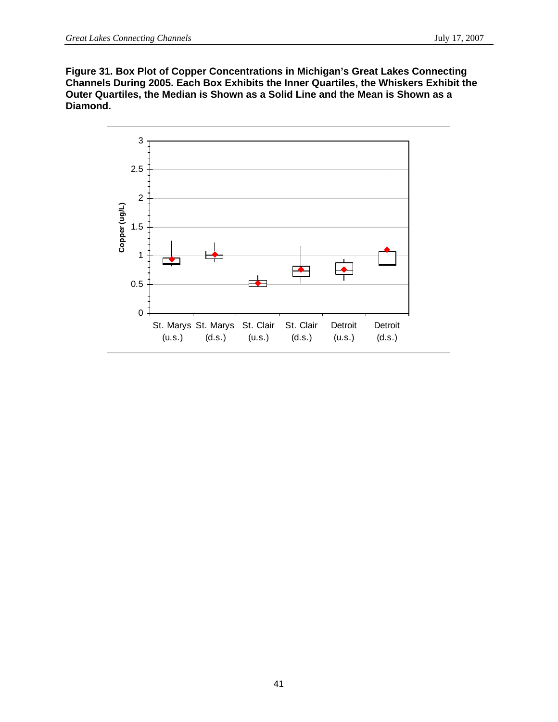**Figure 31. Box Plot of Copper Concentrations in Michigan's Great Lakes Connecting Channels During 2005. Each Box Exhibits the Inner Quartiles, the Whiskers Exhibit the Outer Quartiles, the Median is Shown as a Solid Line and the Mean is Shown as a Diamond.** 

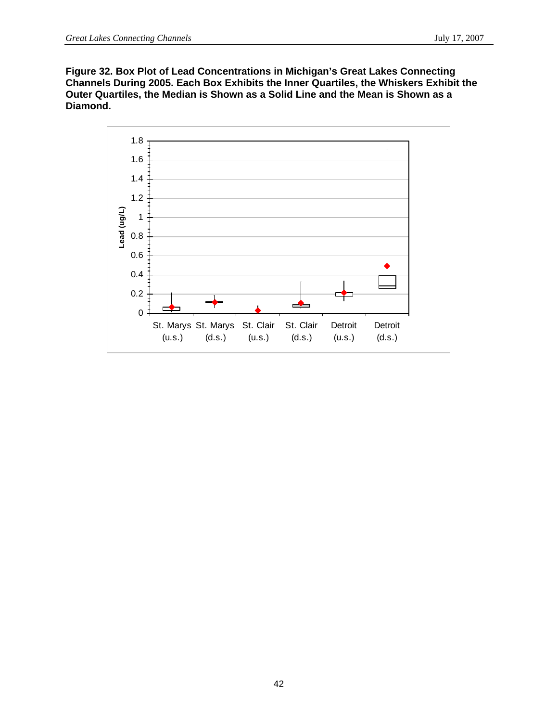**Figure 32. Box Plot of Lead Concentrations in Michigan's Great Lakes Connecting Channels During 2005. Each Box Exhibits the Inner Quartiles, the Whiskers Exhibit the Outer Quartiles, the Median is Shown as a Solid Line and the Mean is Shown as a Diamond.** 

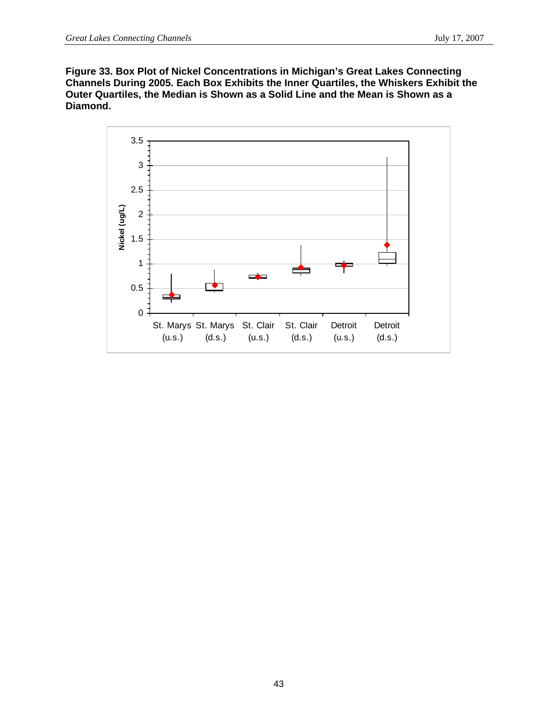**Figure 33. Box Plot of Nickel Concentrations in Michigan's Great Lakes Connecting Channels During 2005. Each Box Exhibits the Inner Quartiles, the Whiskers Exhibit the Outer Quartiles, the Median is Shown as a Solid Line and the Mean is Shown as a Diamond.** 

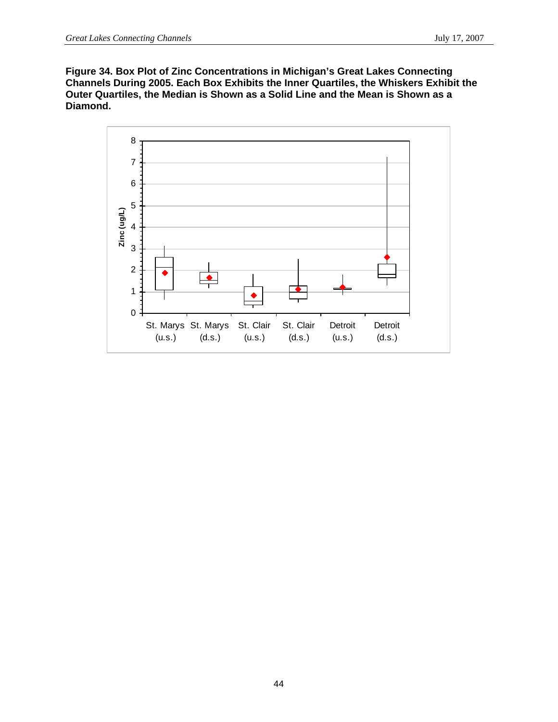**Figure 34. Box Plot of Zinc Concentrations in Michigan's Great Lakes Connecting Channels During 2005. Each Box Exhibits the Inner Quartiles, the Whiskers Exhibit the Outer Quartiles, the Median is Shown as a Solid Line and the Mean is Shown as a Diamond.** 

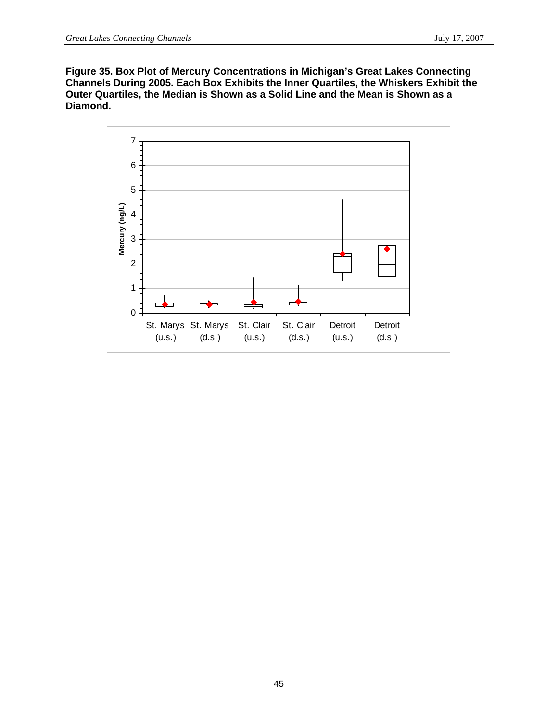**Figure 35. Box Plot of Mercury Concentrations in Michigan's Great Lakes Connecting Channels During 2005. Each Box Exhibits the Inner Quartiles, the Whiskers Exhibit the Outer Quartiles, the Median is Shown as a Solid Line and the Mean is Shown as a Diamond.** 

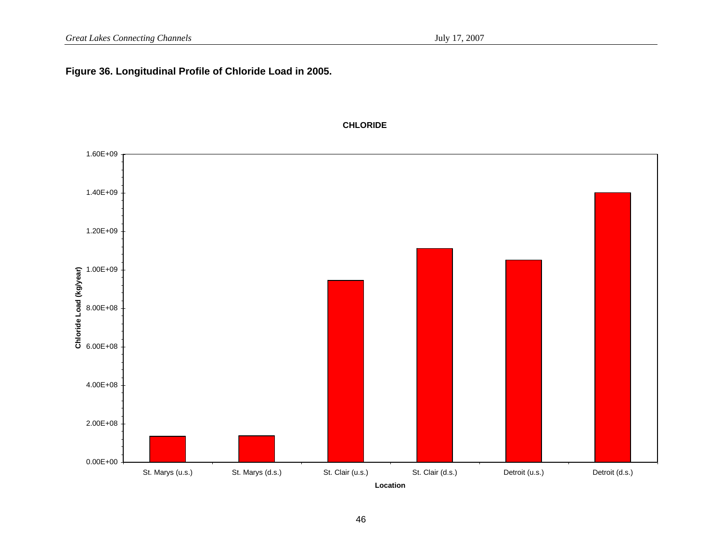### **Figure 36. Longitudinal Profile of Chloride Load in 2005.**



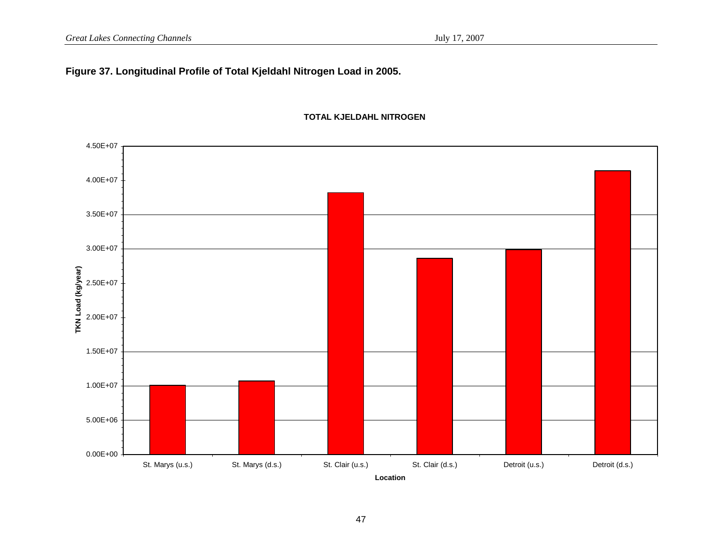## **Figure 37. Longitudinal Profile of Total Kjeldahl Nitrogen Load in 2005.**



#### **TOTAL KJELDAHL NITROGEN**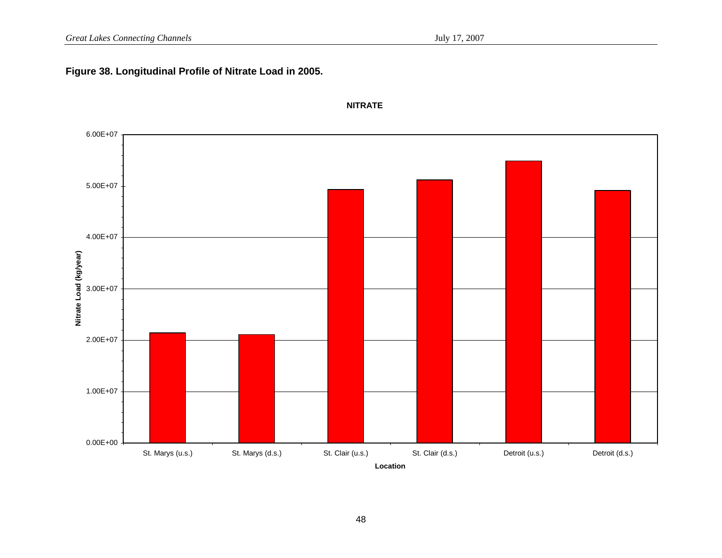## **Figure 38. Longitudinal Profile of Nitrate Load in 2005.**



#### **NITRATE**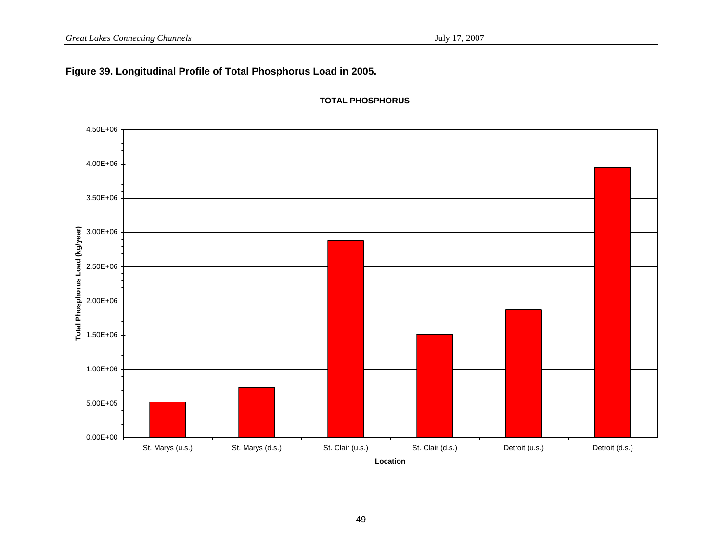## **Figure 39. Longitudinal Profile of Total Phosphorus Load in 2005.**



**TOTAL PHOSPHORUS**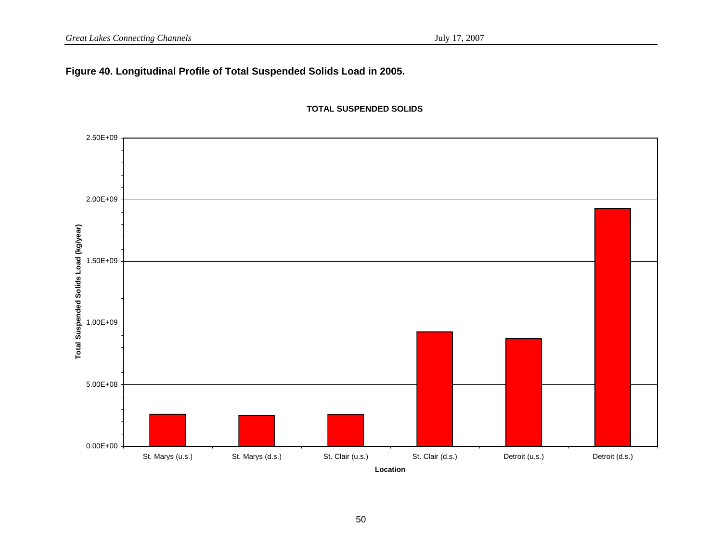## **Figure 40. Longitudinal Profile of Total Suspended Solids Load in 2005.**



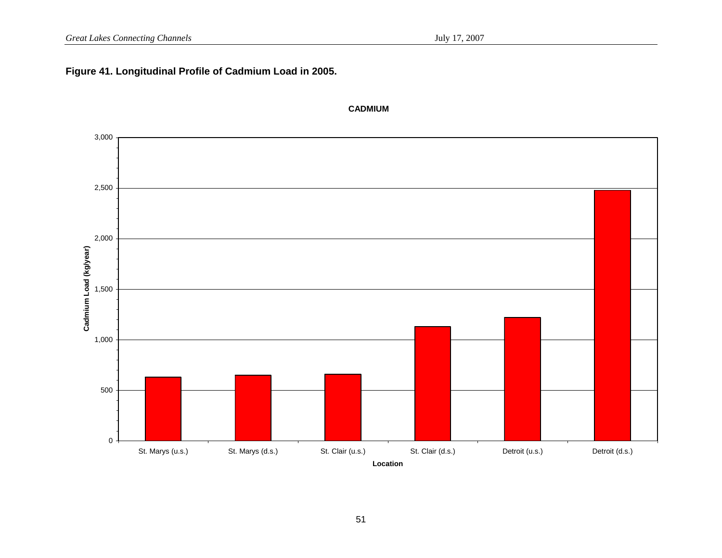## **Figure 41. Longitudinal Profile of Cadmium Load in 2005.**



#### **CADMIUM**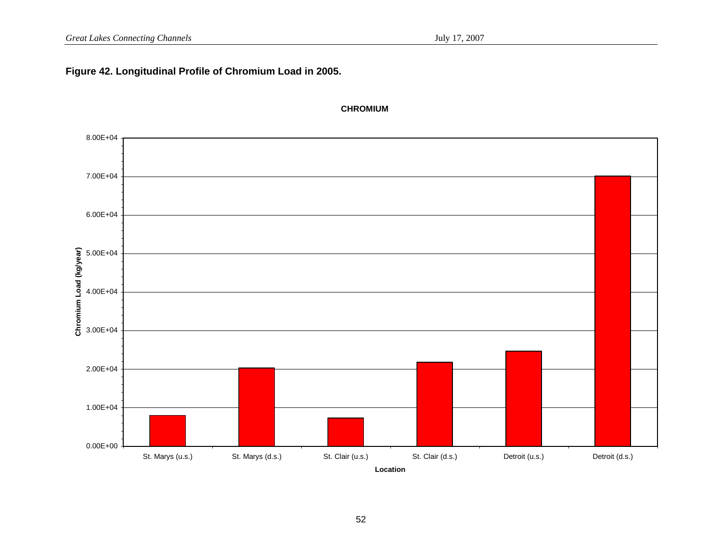## **Figure 42. Longitudinal Profile of Chromium Load in 2005.**



#### **CHROMIUM**

**Location**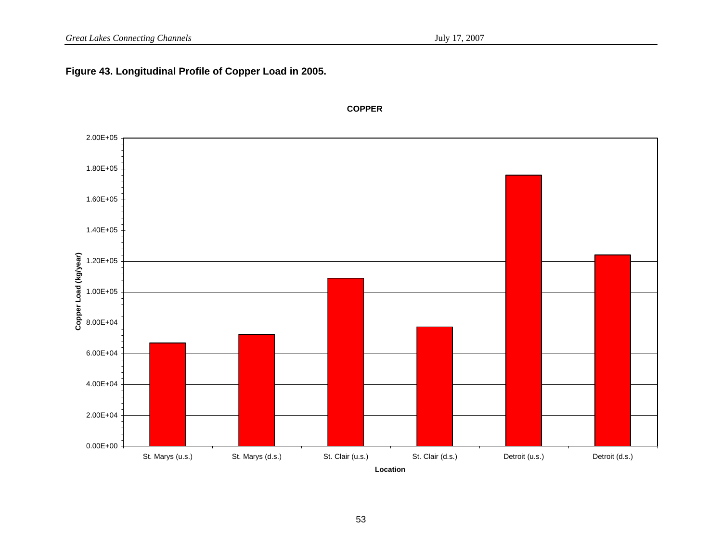#### **igure 43. Longitudinal Profile of Copper Load in 2005. F**



**COPPER**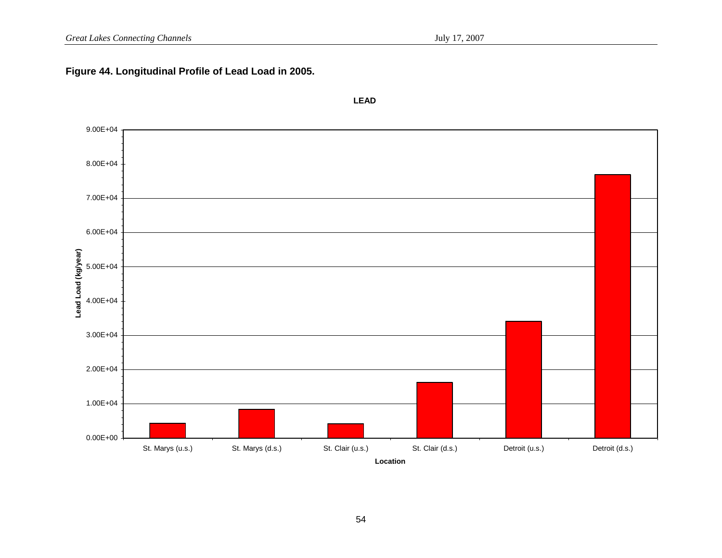# **Figure 44. Longitudinal Profile of Lead Load in 2005.**



**LEAD**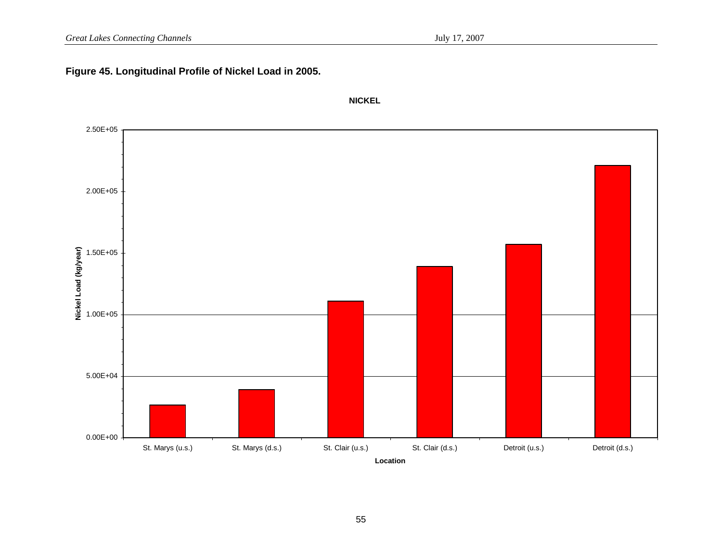## **Figure 45. Longitudinal Profile of Nickel Load in 2005.**



**NICKEL**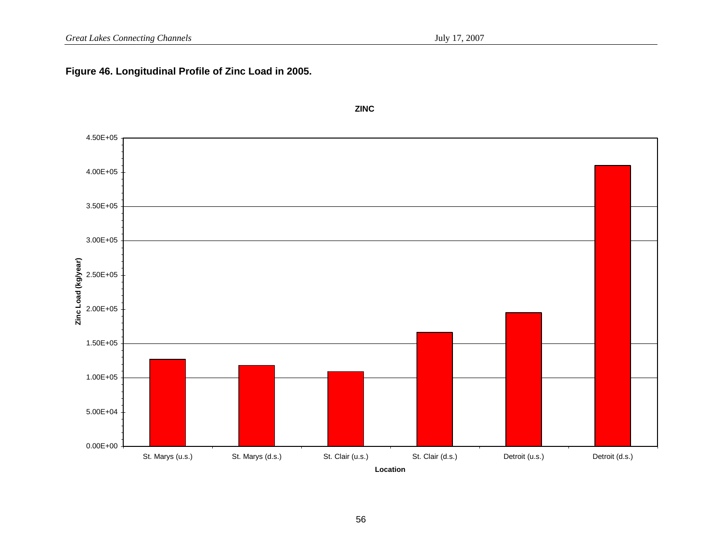# **Figure 46. Longitudinal Profile of Zinc Load in 2005.**

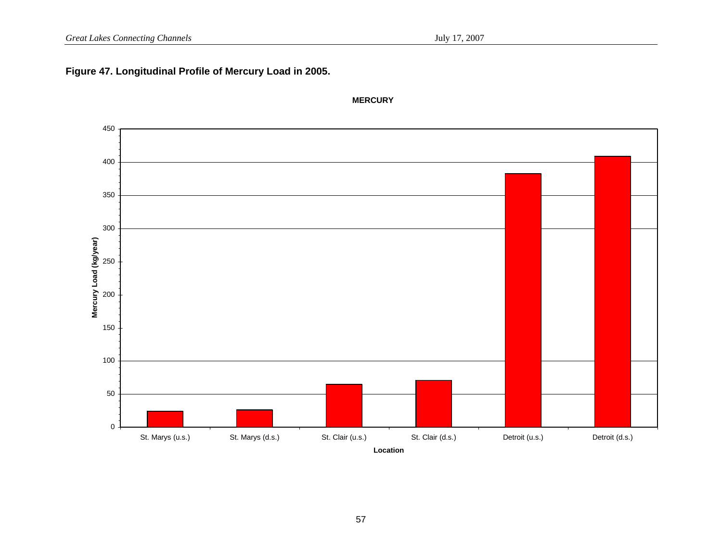## **Figure 47. Longitudinal Profile of Mercury Load in 2005.**



**MERCURY**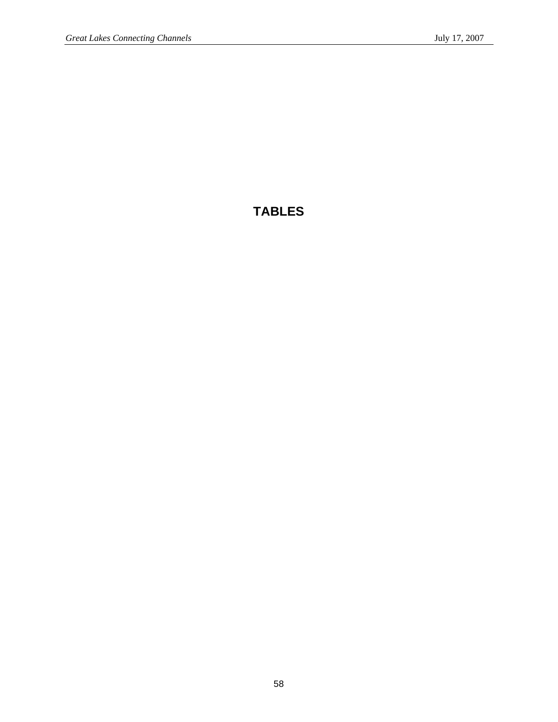# **TABLES**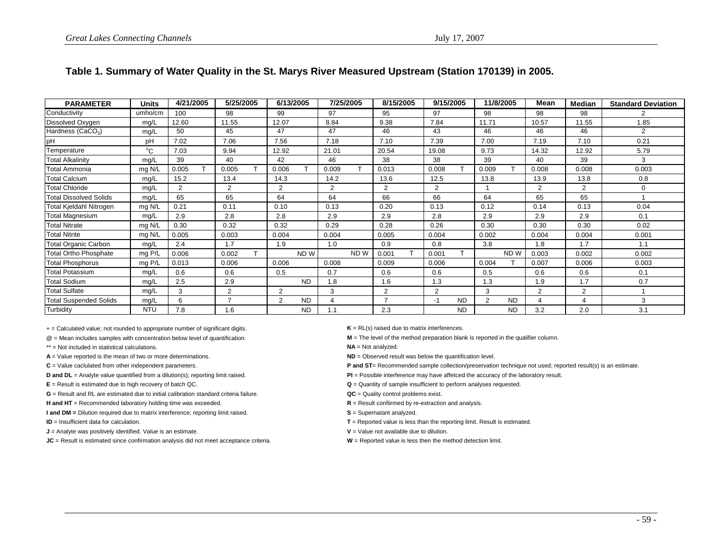| <b>PARAMETER</b>              | <b>Units</b> | 4/21/2005     | 5/25/2005      | 6/13/2005                   | 7/25/2005      | 8/15/2005      | 9/15/2005         | 11/8/2005      | Mean           | <b>Median</b> | <b>Standard Deviation</b> |
|-------------------------------|--------------|---------------|----------------|-----------------------------|----------------|----------------|-------------------|----------------|----------------|---------------|---------------------------|
| Conductivity                  | umho/cm      | 100           | 98             | 99                          | 97             | 95             | 97                | 98             | 98             | 98            |                           |
| Dissolved Oxygen              | mg/L         | 12.60         | 11.55          | 12.07                       | 8.84           | 9.38           | 7.84              | 11.71          | 10.57          | 11.55         | 1.85                      |
| Hardness (CaCO <sub>3</sub> ) | mg/L         | 50            | 45             | 47                          | 47             | 46             | 43                | 46             | 46             | 46            | $\mathfrak{p}$            |
| pH                            | pH           | 7.02          | 7.06           | 7.56                        | 7.18           | 7.10           | 7.39              | 7.00           | 7.19           | 7.10          | 0.21                      |
| Temperature                   | $^{\circ}$ C | 7.03          | 9.94           | 12.92                       | 21.01          | 20.54          | 19.08             | 9.73           | 14.32          | 12.92         | 5.79                      |
| <b>Total Alkalinity</b>       | mg/L         | 39            | 40             | 42                          | 46             | 38             | 38                | 39             | 40             | 39            | 3                         |
| Total Ammonia                 | mg N/L       | 0.005         | 0.005          | 0.006                       | 0.009          | 0.013          | 0.008             | 0.009          | 0.008          | 0.008         | 0.003                     |
| Total Calcium                 | mg/L         | 15.2          | 13.4           | 14.3                        | 14.2           | 13.6           | 12.5              | 13.8           | 13.9           | 13.8          | 0.8                       |
| <b>Total Chloride</b>         | mg/L         | $\mathcal{P}$ | $\overline{2}$ | $\overline{2}$              | $\overline{2}$ | $\mathcal{P}$  | 2                 |                | 2              | 2             | 0                         |
| <b>Total Dissolved Solids</b> | mg/L         | 65            | 65             | 64                          | 64             | 66             | 66                | 64             | 65             | 65            |                           |
| Total Kjeldahl Nitrogen       | mg N/L       | 0.21          | 0.11           | 0.10                        | 0.13           | 0.20           | 0.13              | 0.12           | 0.14           | 0.13          | 0.04                      |
| <b>Total Magnesium</b>        | mg/L         | 2.9           | 2.8            | 2.8                         | 2.9            | 2.9            | 2.8               | 2.9            | 2.9            | 2.9           | 0.1                       |
| <b>Total Nitrate</b>          | mg N/L       | 0.30          | 0.32           | 0.32                        | 0.29           | 0.28           | 0.26              | 0.30           | 0.30           | 0.30          | 0.02                      |
| <b>Total Nitrite</b>          | mg N/L       | 0.005         | 0.003          | 0.004                       | 0.004          | 0.005          | 0.004             | 0.002          | 0.004          | 0.004         | 0.001                     |
| Total Organic Carbon          | mg/L         | 2.4           | 1.7            | 1.9                         | 1.0            | 0.9            | 0.8               | 3.8            | 1.8            | 1.7           | 1.1                       |
| <b>Total Ortho Phosphate</b>  | mg P/L       | 0.006         | 0.002          | ND W                        | ND W           | 0.001          | 0.001             | ND W           | 0.003          | 0.002         | 0.002                     |
| <b>Total Phosphorus</b>       | $mg$ P/L     | 0.013         | 0.006          | 0.006                       | 0.008          | 0.009          | 0.006             | 0.004          | 0.007          | 0.006         | 0.003                     |
| Total Potassium               | mg/L         | 0.6           | 0.6            | 0.5                         | 0.7            | 0.6            | 0.6               | 0.5            | 0.6            | 0.6           | 0.1                       |
| <b>Total Sodium</b>           | mg/L         | 2.5           | 2.9            | <b>ND</b>                   | 1.8            | 1.6            | 1.3               | 1.3            | 1.9            | 1.7           | 0.7                       |
| <b>Total Sulfate</b>          | mg/L         | 3             | $\overline{2}$ | $\overline{2}$              | 3              | $\overline{2}$ | $\mathcal{P}$     | 3              | $\overline{2}$ | 2             |                           |
| <b>Total Suspended Solids</b> | mg/L         | 6             | $\overline{ }$ | $\overline{2}$<br><b>ND</b> |                |                | <b>ND</b><br>$-1$ | 2<br><b>ND</b> | 4              | Δ             | 3                         |
| Turbidity                     | <b>NTU</b>   | 7.8           | 1.6            | <b>ND</b>                   | 1.1            | 2.3            | <b>ND</b>         | <b>ND</b>      | 3.2            | 2.0           | 3.1                       |

#### **Table 1. Summary of Water Quality in the St. Marys River Measured Upstream (Station 170139) in 2005.**

+ = Calculated value; not rounded to appropriate number of significant digits. **K** = RL(s) raised due to matrix interferences.

- \*\* = Not included in statistical calculations.
- 
- 

**G** = Result and RL are estimated due to initial calibration standard criteria failure.

**H and HT** = Recommended laboratory holding time was exceeded. **R R** = Result confiirmed by re-extraction and analysis.

**I and DM** = Dilution required due to matrix interference; reporting limit raised. **S** = Supernatant analyzed.

**ID** = Insufficient data for calculation.

**J** = Analyte was positively identified. Value is an estimate. **V** = Value not available due to dilution.

**JC** = Result is estimated since confirmation analysis did not meet acceptance criteria. **W** = Reported value is less then the method detection limit.

@ = Mean includes samples with concentration below level of quantification. **M** = The level of the method preparation blank is reported in the qualifier column.

**NA** = Not analyzed.

A = Value reported is the mean of two or more determinations. **ND ND** = Observed result was below the quantification level.

C = Value caclulated from other independent parameters. **P and ST**= Recommended sample collection/preservation technique not used; reported result(s) is an estimate.

- **D and DL** = Analyte value quantified from a dilution(s); reporting limit raised. **PI POSSIBLE INCOST PEREFERENCE** the accuracy of the laboratory result.
- **E** = Result is estimated due to high recovery of batch QC. **CONSIDENT AND CONSIDENT AND CONSIDENT Q** = Quantity of sample insufficient to perform analyses requested.

**QC** = Quality control problems exist.

- 
- 
- **T** = Reported value is less than the reporting limit. Result is estimated.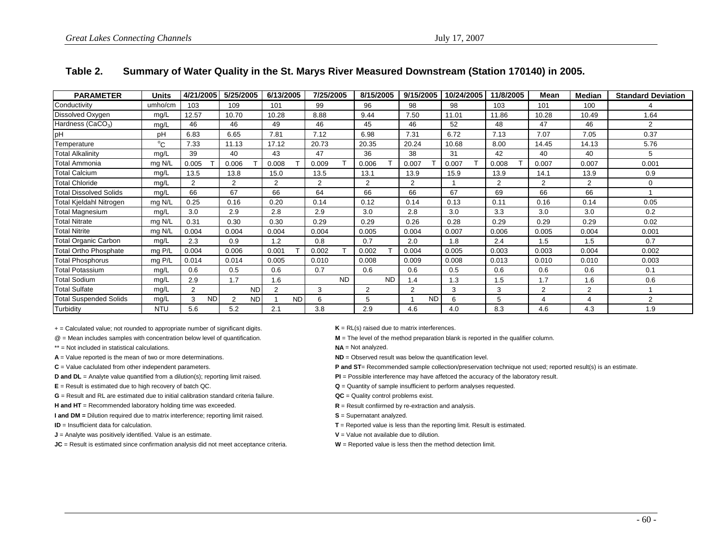| <b>PARAMETER</b>              | <b>Units</b> | 4/21/2005      | 5/25/2005      | 6/13/2005 | 7/25/2005 | 8/15/2005      | 9/15/2005      | 10/24/2005 | 11/8/2005      | Mean             | <b>Median</b>  | <b>Standard Deviation</b> |
|-------------------------------|--------------|----------------|----------------|-----------|-----------|----------------|----------------|------------|----------------|------------------|----------------|---------------------------|
| Conductivity                  | umho/cm      | 103            | 109            | 101       | 99        | 96             | 98             | 98         | 103            | 101              | 100            |                           |
| Dissolved Oxygen              | mg/L         | 12.57          | 10.70          | 10.28     | 8.88      | 9.44           | 7.50           | 11.01      | 11.86          | 10.28            | 10.49          | 1.64                      |
| Hardness (CaCO <sub>3</sub> ) | mg/L         | 46             | 46             | 49        | 46        | 45             | 46             | 52         | 48             | 47               | 46             | 2                         |
| pН                            | pH           | 6.83           | 6.65           | 7.81      | 7.12      | 6.98           | 7.31           | 6.72       | 7.13           | 7.07             | 7.05           | 0.37                      |
| Temperature                   | $^{\circ}C$  | 7.33           | 11.13          | 17.12     | 20.73     | 20.35          | 20.24          | 10.68      | 8.00           | 14.45            | 14.13          | 5.76                      |
| <b>Total Alkalinity</b>       | mg/L         | 39             | 40             | 43        | 47        | 36             | 38             | 31         | 42             | 40               | 40             | 5                         |
| <b>Total Ammonia</b>          | mg N/L       | 0.005          | 0.006          | 0.008     | 0.009     | 0.006          | 0.007          | 0.007      | 0.008          | 0.007            | 0.007          | 0.001                     |
| Total Calcium                 | mg/L         | 13.5           | 13.8           | 15.0      | 13.5      | 13.1           | 13.9           | 15.9       | 13.9           | 14.1             | 13.9           | 0.9                       |
| <b>Total Chloride</b>         | mg/L         | 2              | 2              | 2         | 2         | $\overline{2}$ | $\overline{2}$ |            | $\overline{2}$ | 2                | $\overline{2}$ | $\Omega$                  |
| <b>Total Dissolved Solids</b> | mg/L         | 66             | 67             | 66        | 64        | 66             | 66             | 67         | 69             | 66               | 66             |                           |
| Total Kjeldahl Nitrogen       | mg N/L       | 0.25           | 0.16           | 0.20      | 0.14      | 0.12           | 0.14           | 0.13       | 0.11           | 0.16             | 0.14           | 0.05                      |
| Total Magnesium               | mg/L         | 3.0            | 2.9            | 2.8       | 2.9       | 3.0            | 2.8            | 3.0        | 3.3            | 3.0              | 3.0            | 0.2                       |
| <b>Total Nitrate</b>          | mg N/L       | 0.31           | 0.30           | 0.30      | 0.29      | 0.29           | 0.26           | 0.28       | 0.29           | 0.29             | 0.29           | 0.02                      |
| <b>Total Nitrite</b>          | mg N/L       | 0.004          | 0.004          | 0.004     | 0.004     | 0.005          | 0.004          | 0.007      | 0.006          | 0.005            | 0.004          | 0.001                     |
| <b>Total Organic Carbon</b>   | mg/L         | 2.3            | 0.9            | 1.2       | 0.8       | 0.7            | 2.0            | 1.8        | 2.4            | 1.5              | 1.5            | 0.7                       |
| <b>Total Ortho Phosphate</b>  | mg P/L       | 0.004          | 0.006          | 0.001     | 0.002     | 0.002          | 0.004          | 0.005      | 0.003          | 0.003            | 0.004          | 0.002                     |
| Total Phosphorus              | mg P/L       | 0.014          | 0.014          | 0.005     | 0.010     | 0.008          | 0.009          | 0.008      | 0.013          | 0.010            | 0.010          | 0.003                     |
| Total Potassium               | mg/L         | 0.6            | 0.5            | 0.6       | 0.7       | 0.6            | 0.6            | 0.5        | 0.6            | 0.6              | 0.6            | 0.1                       |
| <b>Total Sodium</b>           | mg/L         | 2.9            | 1.7            | 1.6       | <b>ND</b> | <b>ND</b>      | 1.4            | 1.3        | 1.5            | 1.7              | 1.6            | 0.6                       |
| <b>Total Sulfate</b>          | mg/L         | 2              | <b>ND</b>      | 2         | 3         | 2              | $\overline{2}$ | 3          | 3              | $\overline{2}$   | 2              |                           |
| Total Suspended Solids        | mg/L         | 3<br><b>ND</b> | <b>ND</b><br>2 | <b>ND</b> | 6         | 5              | <b>ND</b>      | 6          | 5              | $\boldsymbol{4}$ | 4              | $\overline{2}$            |
| Turbidity                     | <b>NTU</b>   | 5.6            | 5.2            | 2.1       | 3.8       | 2.9            | 4.6            | 4.0        | 8.3            | 4.6              | 4.3            | 1.9                       |

### **Table 2. Summary of Water Quality in the St. Marys River Measured Downstream (Station 170140) in 2005.**

+ = Calculated value; not rounded to appropriate number of significant digits. **K** = RL(s) raised due to matrix interferences.

- \*\* = Not included in statistical calculations.
- **A** = Value reported is the mean of two or more determinations. **ND** in Observed result was below the quantification level.

**G** = Result and RL are estimated due to initial calibration standard criteria failure.

**H and HT** = Recommended laboratory holding time was exceeded. **R** = Result confiirmed by re-extraction and analysis.

**I and DM** = Dilution required due to matrix interference; reporting limit raised. **S** = Supernatant analyzed.

**ID** = Insufficient data for calculation.

**J** = Analyte was positively identified. Value is an estimate. **V V** = Value not available due to dilution.

**JC** = Result is estimated since confirmation analysis did not meet acceptance criteria. **W** = Reported value is less then the method detection limit.

@ = Mean includes samples with concentration below level of quantification. **M** = The level of the method preparation blank is reported in the qualifier column.

**NA** = Not analyzed.

C = Value caclulated from other independent parameters. **P and ST**= Recommended sample collection/preservation technique not used; reported result(s) is an estimate.

**D and DL** = Analyte value quantified from a dilution(s); reporting limit raised. **PI** = Possible interference may have affetced the accuracy of the laboratory result.

**E** = Result is estimated due to high recovery of batch QC. **COM COM COM Q** = Quantity of sample insufficient to perform analyses requested.

**QC** = Quality control problems exist.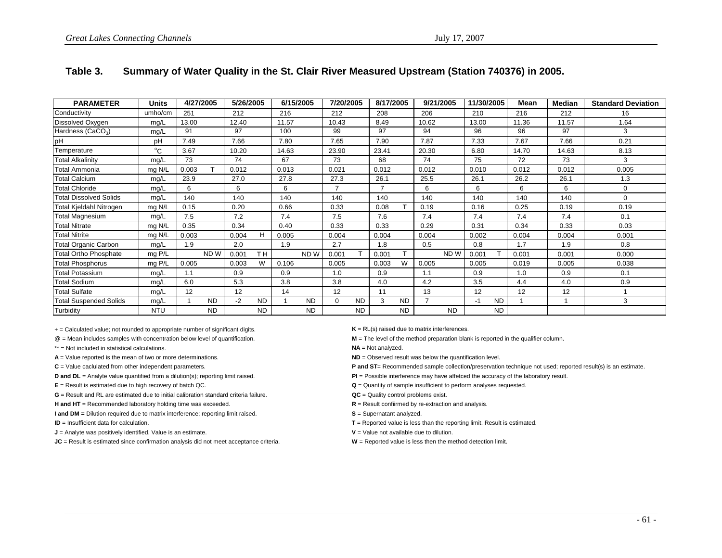| <b>PARAMETER</b>              | <b>Units</b> | 4/27/2005 |                 | 5/26/2005 |                | 6/15/2005 |                 | 7/20/2005 |           | 8/17/2005      |           | 9/21/2005      |                 | 11/30/2005 |           | Mean  | Median | <b>Standard Deviation</b> |
|-------------------------------|--------------|-----------|-----------------|-----------|----------------|-----------|-----------------|-----------|-----------|----------------|-----------|----------------|-----------------|------------|-----------|-------|--------|---------------------------|
| Conductivity                  | umho/cm      | 251       |                 | 212       |                | 216       |                 | 212       |           | 208            |           | 206            |                 | 210        |           | 216   | 212    | 16                        |
| Dissolved Oxygen              | mg/L         | 13.00     |                 | 12.40     |                | 11.57     |                 | 10.43     |           | 8.49           |           | 10.62          |                 | 13.00      |           | 11.36 | 11.57  | 1.64                      |
| Hardness (CaCO <sub>3</sub> ) | mg/L         | 91        |                 | 97        |                | 100       |                 | 99        |           | 97             |           | 94             |                 | 96         |           | 96    | 97     | 3                         |
| рH                            | pH           | 7.49      |                 | 7.66      |                | 7.80      |                 | 7.65      |           | 7.90           |           | 7.87           |                 | 7.33       |           | 7.67  | 7.66   | 0.21                      |
| Temperature                   | $^{\circ}$ C | 3.67      |                 | 10.20     |                | 14.63     |                 | 23.90     |           | 23.41          |           | 20.30          |                 | 6.80       |           | 14.70 | 14.63  | 8.13                      |
| <b>Total Alkalinity</b>       | mg/L         | 73        |                 | 74        |                | 67        |                 | 73        |           | 68             |           | 74             |                 | 75         |           | 72    | 73     | 3                         |
| Total Ammonia                 | mg N/L       | 0.003     | т               | 0.012     |                | 0.013     |                 | 0.021     |           | 0.012          |           | 0.012          |                 | 0.010      |           | 0.012 | 0.012  | 0.005                     |
| <b>Total Calcium</b>          | mg/L         | 23.9      |                 | 27.0      |                | 27.8      |                 | 27.3      |           | 26.1           |           | 25.5           |                 | 26.1       |           | 26.2  | 26.1   | 1.3                       |
| <b>Total Chloride</b>         | mg/L         | 6         |                 | 6         |                | 6         |                 | ⇁         |           | $\overline{7}$ |           | 6              |                 | 6          |           | 6     | 6      | $\mathbf 0$               |
| <b>Total Dissolved Solids</b> | mg/L         | 140       |                 | 140       |                | 140       |                 | 140       |           | 140            |           | 140            |                 | 140        |           | 140   | 140    | $\Omega$                  |
| Total Kjeldahl Nitrogen       | mg N/L       | 0.15      |                 | 0.20      |                | 0.66      |                 | 0.33      |           | 0.08           |           | 0.19           |                 | 0.16       |           | 0.25  | 0.19   | 0.19                      |
| Total Magnesium               | mg/L         | 7.5       |                 | 7.2       |                | 7.4       |                 | 7.5       |           | 7.6            |           | 7.4            |                 | 7.4        |           | 7.4   | 7.4    | 0.1                       |
| <b>Total Nitrate</b>          | mg N/L       | 0.35      |                 | 0.34      |                | 0.40      |                 | 0.33      |           | 0.33           |           | 0.29           |                 | 0.31       |           | 0.34  | 0.33   | 0.03                      |
| Total Nitrite                 | mg N/L       | 0.003     |                 | 0.004     | н              | 0.005     |                 | 0.004     |           | 0.004          |           | 0.004          |                 | 0.002      |           | 0.004 | 0.004  | 0.001                     |
| <b>Total Organic Carbon</b>   | mg/L         | 1.9       |                 | 2.0       |                | 1.9       |                 | 2.7       |           | 1.8            |           | 0.5            |                 | 0.8        |           | 1.7   | 1.9    | 0.8                       |
| <b>Total Ortho Phosphate</b>  | mg P/L       |           | ND <sub>W</sub> | 0.001     | T <sub>H</sub> |           | ND <sub>W</sub> | 0.001     |           | 0.001          |           |                | ND <sub>W</sub> | 0.001      |           | 0.001 | 0.001  | 0.000                     |
| <b>Total Phosphorus</b>       | mg P/L       | 0.005     |                 | 0.003     | W              | 0.106     |                 | 0.005     |           | 0.003          | W         | 0.005          |                 | 0.005      |           | 0.019 | 0.005  | 0.038                     |
| Total Potassium               | mg/L         | 1.1       |                 | 0.9       |                | 0.9       |                 | 1.0       |           | 0.9            |           | 1.1            |                 | 0.9        |           | 1.0   | 0.9    | 0.1                       |
| <b>Total Sodium</b>           | mg/L         | 6.0       |                 | 5.3       |                | 3.8       |                 | 3.8       |           | 4.0            |           | 4.2            |                 | 3.5        |           | 4.4   | 4.0    | 0.9                       |
| <b>Total Sulfate</b>          | mg/L         | 12        |                 | 12        |                | 14        |                 | 12        |           | 11             |           | 13             |                 | 12         |           | 12    | 12     |                           |
| <b>Total Suspended Solids</b> | mg/L         |           | <b>ND</b>       | $-2$      | ND.            |           | <b>ND</b>       | $\Omega$  | <b>ND</b> | 3              | <b>ND</b> | $\overline{7}$ |                 | -1         | <b>ND</b> |       |        | 3                         |
| Turbidity                     | <b>NTU</b>   |           | <b>ND</b>       |           | <b>ND</b>      |           | <b>ND</b>       |           | <b>ND</b> |                | <b>ND</b> |                | <b>ND</b>       |            | <b>ND</b> |       |        |                           |

### **Table 3. Summary of Water Quality in the St. Clair River Measured Upstream (Station 740376) in 2005.**

+ = Calculated value; not rounded to appropriate number of significant digits. **K** = RL(s) raised due to matrix interferences.

- \*\* = Not included in statistical calculations.
- **A** = Value reported is the mean of two or more determinations. **ND** = Observed result was below the quantification level.

**D and DL** = Analyte value quantified from a dilution(s); reporting limit raised. **PI POSSIBLE** POSSIBLE interference may have affetced the accuracy of the laboratory result.

**G** = Result and RL are estimated due to initial calibration standard criteria failure.

**H** and HT = Recommended laboratory holding time was exceeded. **R** = Result confiirmed by re-extraction and analysis.

**I and DM** = Dilution required due to matrix interference; reporting limit raised. **S** = Supernatant analyzed.

**ID** = Insufficient data for calculation.

**J** = Analyte was positively identified. Value is an estimate. **V V** = Value not available due to dilution.

**JC** = Result is estimated since confirmation analysis did not meet acceptance criteria. **W** = Reported value is less then the method detection limit.

@ = Mean includes samples with concentration below level of quantification. **M** = The level of the method preparation blank is reported in the qualifier column.

**NA** = Not analyzed.

C = Value caclulated from other independent parameters. **P** and ST= Recommended sample collection/preservation technique not used; reported result(s) is an estimate.

**E** = Result is estimated due to high recovery of batch QC. **Cancel 2008 Q** = Quantity of sample insufficient to perform analyses requested.

**QC** = Quality control problems exist.

- 
-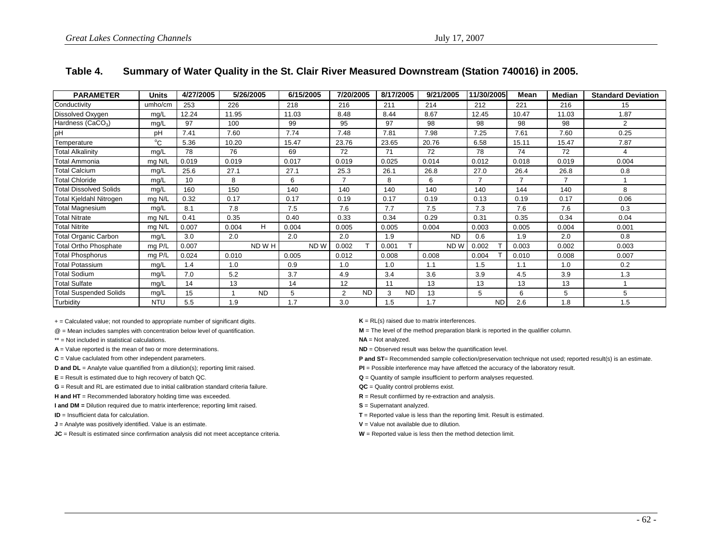| <b>PARAMETER</b>              | <b>Units</b> | 4/27/2005 |       | 5/26/2005 |       | 6/15/2005       | 7/20/2005      |           | 8/17/2005 |           | 9/21/2005 |                 | 11/30/2005 |      | Mean  | Median         | <b>Standard Deviation</b> |
|-------------------------------|--------------|-----------|-------|-----------|-------|-----------------|----------------|-----------|-----------|-----------|-----------|-----------------|------------|------|-------|----------------|---------------------------|
| Conductivity                  | umho/cm      | 253       | 226   |           | 218   |                 | 216            |           | 211       |           | 214       |                 | 212        |      | 221   | 216            | 15                        |
| Dissolved Oxygen              | mg/L         | 12.24     | 11.95 |           | 11.03 |                 | 8.48           |           | 8.44      |           | 8.67      |                 | 12.45      |      | 10.47 | 11.03          | 1.87                      |
| Hardness (CaCO <sub>3</sub> ) | mg/L         | 97        | 100   |           | 99    |                 | 95             |           | 97        |           | 98        |                 | 98         |      | 98    | 98             | 2                         |
| pH                            | pH           | 7.41      | 7.60  |           | 7.74  |                 | 7.48           |           | 7.81      |           | 7.98      |                 | 7.25       |      | 7.61  | 7.60           | 0.25                      |
| Temperature                   | $^{\circ}$ C | 5.36      | 10.20 |           | 15.47 |                 | 23.76          |           | 23.65     |           | 20.76     |                 | 6.58       |      | 15.11 | 15.47          | 7.87                      |
| <b>Total Alkalinity</b>       | mg/L         | 78        | 76    |           | 69    |                 | 72             |           | 71        |           | 72        |                 | 78         |      | 74    | 72             | 4                         |
| Total Ammonia                 | mg N/L       | 0.019     | 0.019 |           | 0.017 |                 | 0.019          |           | 0.025     |           | 0.014     |                 | 0.012      |      | 0.018 | 0.019          | 0.004                     |
| <b>Total Calcium</b>          | mg/L         | 25.6      | 27.1  |           | 27.1  |                 | 25.3           |           | 26.1      |           | 26.8      |                 | 27.0       |      | 26.4  | 26.8           | 0.8                       |
| <b>Total Chloride</b>         | mg/L         | 10        | 8     |           | 6     |                 |                |           | 8         |           | 6         |                 |            |      |       | $\overline{ }$ |                           |
| <b>Total Dissolved Solids</b> | mg/L         | 160       | 150   |           | 140   |                 | 140            |           | 140       |           | 140       |                 | 140        |      | 144   | 140            | 8                         |
| Total Kjeldahl Nitrogen       | mg N/L       | 0.32      | 0.17  |           | 0.17  |                 | 0.19           |           | 0.17      |           | 0.19      |                 | 0.13       |      | 0.19  | 0.17           | 0.06                      |
| Total Magnesium               | mg/L         | 8.1       | 7.8   |           | 7.5   |                 | 7.6            |           | 7.7       |           | 7.5       |                 | 7.3        |      | 7.6   | 7.6            | 0.3                       |
| <b>Total Nitrate</b>          | mg N/L       | 0.41      | 0.35  |           | 0.40  |                 | 0.33           |           | 0.34      |           | 0.29      |                 | 0.31       |      | 0.35  | 0.34           | 0.04                      |
| <b>Total Nitrite</b>          | mg N/L       | 0.007     | 0.004 | н         | 0.004 |                 | 0.005          |           | 0.005     |           | 0.004     |                 | 0.003      |      | 0.005 | 0.004          | 0.001                     |
| <b>Total Organic Carbon</b>   | mg/L         | 3.0       | 2.0   |           | 2.0   |                 | 2.0            |           | 1.9       |           |           | <b>ND</b>       | 0.6        |      | 1.9   | 2.0            | 0.8                       |
| <b>Total Ortho Phosphate</b>  | mg P/L       | 0.007     |       | ND W H    |       | ND <sub>W</sub> | 0.002          |           | 0.001     |           |           | ND <sub>W</sub> | 0.002      |      | 0.003 | 0.002          | 0.003                     |
| <b>Total Phosphorus</b>       | mg P/L       | 0.024     | 0.010 |           | 0.005 |                 | 0.012          |           | 0.008     |           | 0.008     |                 | 0.004      |      | 0.010 | 0.008          | 0.007                     |
| Total Potassium               | mg/L         | 1.4       | 1.0   |           | 0.9   |                 | 1.0            |           | 1.0       |           | 1.1       |                 | 1.5        |      | 1.1   | 1.0            | 0.2                       |
| <b>Total Sodium</b>           | mg/L         | 7.0       | 5.2   |           | 3.7   |                 | 4.9            |           | 3.4       |           | 3.6       |                 | 3.9        |      | 4.5   | 3.9            | 1.3                       |
| <b>Total Sulfate</b>          | mg/L         | 14        | 13    |           | 14    |                 | 12             |           | 11        |           | 13        |                 | 13         |      | 13    | 13             |                           |
| <b>Total Suspended Solids</b> | mg/L         | 15        |       | <b>ND</b> | 5     |                 | $\overline{2}$ | <b>ND</b> | 3         | <b>ND</b> | 13        |                 | 5          |      | 6     | 5              | 5                         |
| Turbidity                     | <b>NTU</b>   | 5.5       | 1.9   |           | 1.7   |                 | 3.0            |           | 1.5       |           | 1.7       |                 |            | ND I | 2.6   | 1.8            | 1.5                       |

### **Table 4. Summary of Water Quality in the St. Clair River Measured Downstream (Station 740016) in 2005.**

+ = Calculated value; not rounded to appropriate number of significant digits. **K** = RL(s) raised due to matrix interferences.

\*\* = Not included in statistical calculations.

- 
- 

**G** = Result and RL are estimated due to initial calibration standard criteria failure.

**H and HT** = Recommended laboratory holding time was exceeded. **R** = Result confiirmed by re-extraction and analysis.

**I and DM** = Dilution required due to matrix interference; reporting limit raised. **S** = Supernatant analyzed.

**ID** = Insufficient data for calculation.

**J** = Analyte was positively identified. Value is an estimate. **V** = Value not available due to dilution.

**JC** = Result is estimated since confirmation analysis did not meet acceptance criteria. **W** = Reported value is less then the method detection limit.

@ = Mean includes samples with concentration below level of quantification. **M** = The level of the method preparation blank is reported in the qualifier column.

**NA** = Not analyzed.

**A** = Value reported is the mean of two or more determinations. **ND** = Observed result was below the quantification level.

C = Value caclulated from other independent parameters. **P and ST**= Recommended sample collection/preservation technique not used; reported result(s) is an estimate.

**D and DL** = Analyte value quantified from a dilution(s); reporting limit raised. **PI POSSIME INCO CONTACT POSSIME** interference may have affetced the accuracy of the laboratory result.

**E** = Result is estimated due to high recovery of batch QC. **CONSIDENT AND CONSIDENT AND CONSIDENT Q** = Quantity of sample insufficient to perform analyses requested.

**QC** = Quality control problems exist.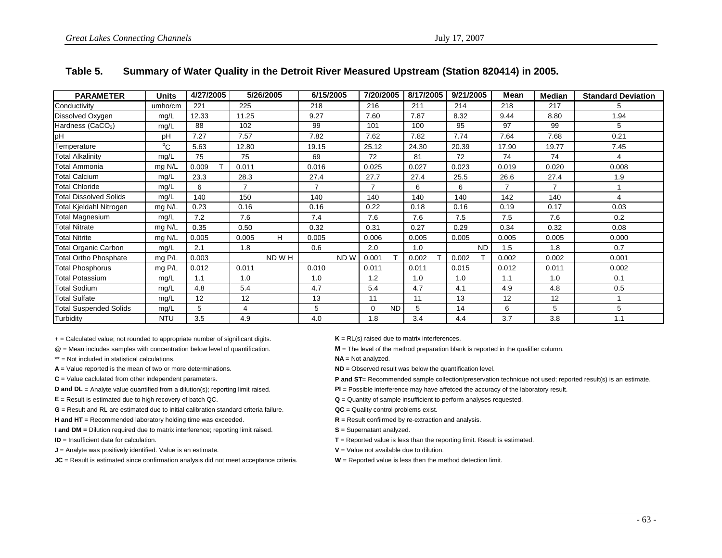| <b>PARAMETER</b>              | Units        | 4/27/2005 |                | 5/26/2005 | 6/15/2005 |                 | 7/20/2005      |           | 8/17/2005 | 9/21/2005 |           | Mean                     | Median         | <b>Standard Deviation</b> |
|-------------------------------|--------------|-----------|----------------|-----------|-----------|-----------------|----------------|-----------|-----------|-----------|-----------|--------------------------|----------------|---------------------------|
| Conductivity                  | umho/cm      | 221       | 225            |           | 218       |                 | 216            |           | 211       | 214       |           | 218                      | 217            | 5                         |
| Dissolved Oxygen              | mg/L         | 12.33     | 11.25          |           | 9.27      |                 | 7.60           |           | 7.87      | 8.32      |           | 9.44                     | 8.80           | 1.94                      |
| Hardness (CaCO <sub>3</sub> ) | mg/L         | 88        | 102            |           | 99        |                 | 101            |           | 100       | 95        |           | 97                       | 99             | 5                         |
| pH                            | pH           | 7.27      | 7.57           |           | 7.82      |                 | 7.62           |           | 7.82      | 7.74      |           | 7.64                     | 7.68           | 0.21                      |
| Temperature                   | $^{\circ}$ C | 5.63      | 12.80          |           | 19.15     |                 | 25.12          |           | 24.30     | 20.39     |           | 17.90                    | 19.77          | 7.45                      |
| Total Alkalinity              | mg/L         | 75        | 75             |           | 69        |                 | 72             |           | 81        | 72        |           | 74                       | 74             |                           |
| Total Ammonia                 | mg N/L       | 0.009     | 0.011          |           | 0.016     |                 | 0.025          |           | 0.027     | 0.023     |           | 0.019                    | 0.020          | 0.008                     |
| Total Calcium                 | mg/L         | 23.3      | 28.3           |           | 27.4      |                 | 27.7           |           | 27.4      | 25.5      |           | 26.6                     | 27.4           | 1.9                       |
| <b>Total Chloride</b>         | mg/L         | 6         | $\overline{7}$ |           | 7         |                 | $\overline{ }$ |           | 6         | 6         |           | $\overline{\phantom{a}}$ | $\overline{7}$ |                           |
| Total Dissolved Solids        | mg/L         | 140       | 150            |           | 140       |                 | 140            |           | 140       | 140       |           | 142                      | 140            |                           |
| Total Kjeldahl Nitrogen       | mg N/L       | 0.23      | 0.16           |           | 0.16      |                 | 0.22           |           | 0.18      | 0.16      |           | 0.19                     | 0.17           | 0.03                      |
| <b>Total Magnesium</b>        | mg/L         | 7.2       | 7.6            |           | 7.4       |                 | 7.6            |           | 7.6       | 7.5       |           | 7.5                      | 7.6            | 0.2                       |
| <b>Total Nitrate</b>          | mg N/L       | 0.35      | 0.50           |           | 0.32      |                 | 0.31           |           | 0.27      | 0.29      |           | 0.34                     | 0.32           | 0.08                      |
| Total Nitrite                 | mg N/L       | 0.005     | 0.005          | H         | 0.005     |                 | 0.006          |           | 0.005     | 0.005     |           | 0.005                    | 0.005          | 0.000                     |
| Total Organic Carbon          | mg/L         | 2.1       | 1.8            |           | 0.6       |                 | 2.0            |           | 1.0       |           | <b>ND</b> | 1.5                      | 1.8            | 0.7                       |
| Total Ortho Phosphate         | mg P/L       | 0.003     |                | ND W H    |           | ND <sub>W</sub> | 0.001          |           | 0.002     | 0.002     |           | 0.002                    | 0.002          | 0.001                     |
| <b>Total Phosphorus</b>       | mg P/L       | 0.012     | 0.011          |           | 0.010     |                 | 0.011          |           | 0.011     | 0.015     |           | 0.012                    | 0.011          | 0.002                     |
| Total Potassium               | mg/L         | 1.1       | 1.0            |           | 1.0       |                 | 1.2            |           | 1.0       | 1.0       |           | 1.1                      | 1.0            | 0.1                       |
| <b>Total Sodium</b>           | mg/L         | 4.8       | 5.4            |           | 4.7       |                 | 5.4            |           | 4.7       | 4.1       |           | 4.9                      | 4.8            | 0.5                       |
| Total Sulfate                 | mg/L         | 12        | 12             |           | 13        |                 | 11             |           | 11        | 13        |           | 12                       | 12             |                           |
| <b>Total Suspended Solids</b> | mg/L         | 5         | 4              |           | 5         |                 | 0              | <b>ND</b> | 5         | 14        |           | 6                        | 5              | 5                         |
| Turbidity                     | <b>NTU</b>   | 3.5       | 4.9            |           | 4.0       |                 | 1.8            |           | 3.4       | 4.4       |           | 3.7                      | 3.8            | 1.1                       |

### **Table 5. Summary of Water Quality in the Detroit River Measured Upstream (Station 820414) in 2005.**

+ = Calculated value; not rounded to appropriate number of significant digits. **<sup>K</sup>**= RL(s) raised due to matrix interferences.

\*\* = Not included in statistical calculations.

 $E$  = Result is estimated due to high recovery of batch QC.

**G** = Result and RL are estimated due to initial calibration standard criteria failure.

**H** and HT = Recommended laboratory holding time was exceeded. **R** = Result confiirmed by re-extraction and analysis.

**I and DM = Dilution required due to matrix interference; reporting limit raised. <b>S** = Supernatant analyzed.

**ID** = Insufficient data for calculation.

**J** = Analyte was positively identified. Value is an estimate. **V** = Value not available due to dilution.

**JC** = Result is estimated since confirmation analysis did not meet acceptance criteria. **W** = Reported value is less then the method detection limit.

@ = Mean includes samples with concentration below level of quantification. **M** = The level of the method preparation blank is reported in the qualifier column.

**NA** = Not analyzed.

**A** = Value reported is the mean of two or more determinations. **ND** = Observed result was below the quantification level.

**C** = Value caclulated from other independent parameters. **P** and **ST**= Recommended sample collection/preservation technique not used; reported result(s) is an estimate.

**D and DL** = Analyte value quantified from a dilution(s); reporting limit raised. **PI** = Possible interference may have affetced the accuracy of the laboratory result.

 $Q =$  Quantity of sample insufficient to perform analyses requested.

**QC** = Quality control problems exist.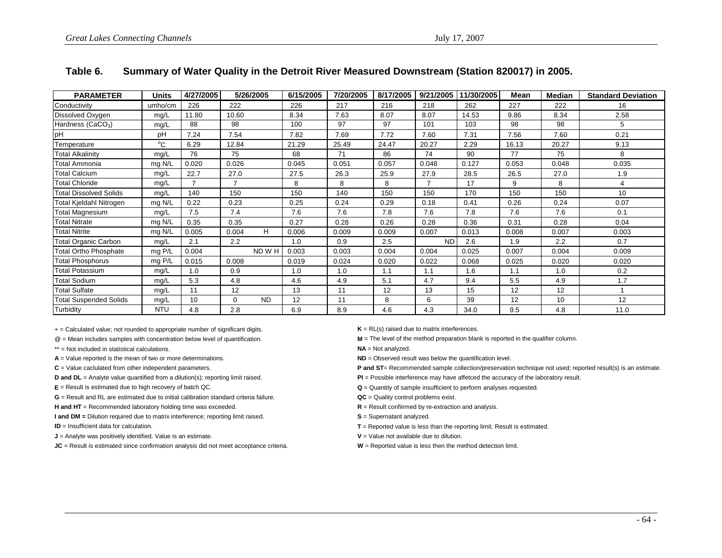| <b>PARAMETER</b>              | <b>Units</b> | 4/27/2005 |          | 5/26/2005 | 6/15/2005 | 7/20/2005 | 8/17/2005 | 9/21/2005 | 11/30/2005 | Mean  | Median | <b>Standard Deviation</b> |
|-------------------------------|--------------|-----------|----------|-----------|-----------|-----------|-----------|-----------|------------|-------|--------|---------------------------|
| Conductivity                  | umho/cm      | 226       | 222      |           | 226       | 217       | 216       | 218       | 262        | 227   | 222    | 16                        |
| Dissolved Oxygen              | mg/L         | 11.80     | 10.60    |           | 8.34      | 7.63      | 8.07      | 8.07      | 14.53      | 9.86  | 8.34   | 2.58                      |
| Hardness (CaCO <sub>3</sub> ) | mg/L         | 88        | 98       |           | 100       | 97        | 97        | 101       | 103        | 98    | 98     | 5                         |
| pH                            | pH           | 7.24      | 7.54     |           | 7.82      | 7.69      | 7.72      | 7.60      | 7.31       | 7.56  | 7.60   | 0.21                      |
| Temperature                   | $^{\circ}$ C | 6.29      | 12.84    |           | 21.29     | 25.49     | 24.47     | 20.27     | 2.29       | 16.13 | 20.27  | 9.13                      |
| <b>Total Alkalinity</b>       | mg/L         | 76        | 75       |           | 68        | 71        | 86        | 74        | 90         | 77    | 75     | 8                         |
| Total Ammonia                 | mg N/L       | 0.020     | 0.026    |           | 0.045     | 0.051     | 0.057     | 0.048     | 0.127      | 0.053 | 0.048  | 0.035                     |
| <b>Total Calcium</b>          | mg/L         | 22.7      | 27.0     |           | 27.5      | 26.3      | 25.9      | 27.9      | 28.5       | 26.5  | 27.0   | 1.9                       |
| <b>Total Chloride</b>         | mg/L         |           |          |           | 8         | 8         | 8         |           | 17         | 9     | 8      | 4                         |
| <b>Total Dissolved Solids</b> | mg/L         | 140       | 150      |           | 150       | 140       | 150       | 150       | 170        | 150   | 150    | 10                        |
| Total Kjeldahl Nitrogen       | mg N/L       | 0.22      | 0.23     |           | 0.25      | 0.24      | 0.29      | 0.18      | 0.41       | 0.26  | 0.24   | 0.07                      |
| <b>Total Magnesium</b>        | mg/L         | 7.5       | 7.4      |           | 7.6       | 7.6       | 7.8       | 7.6       | 7.8        | 7.6   | 7.6    | 0.1                       |
| <b>Total Nitrate</b>          | mg N/L       | 0.35      | 0.35     |           | 0.27      | 0.28      | 0.26      | 0.28      | 0.36       | 0.31  | 0.28   | 0.04                      |
| <b>Total Nitrite</b>          | mg N/L       | 0.005     | 0.004    | Н.        | 0.006     | 0.009     | 0.009     | 0.007     | 0.013      | 0.008 | 0.007  | 0.003                     |
| <b>Total Organic Carbon</b>   | mg/L         | 2.1       | 2.2      |           | 1.0       | 0.9       | 2.5       | <b>ND</b> | 2.6        | 1.9   | 2.2    | 0.7                       |
| <b>Total Ortho Phosphate</b>  | mg P/L       | 0.004     |          | ND W H    | 0.003     | 0.003     | 0.004     | 0.004     | 0.025      | 0.007 | 0.004  | 0.009                     |
| <b>Total Phosphorus</b>       | mg P/L       | 0.015     | 0.008    |           | 0.019     | 0.024     | 0.020     | 0.022     | 0.068      | 0.025 | 0.020  | 0.020                     |
| <b>Total Potassium</b>        | mg/L         | 1.0       | 0.9      |           | 1.0       | 1.0       | 1.1       | 1.1       | 1.6        | 1.1   | 1.0    | 0.2                       |
| <b>Total Sodium</b>           | mg/L         | 5.3       | 4.8      |           | 4.6       | 4.9       | 5.1       | 4.7       | 9.4        | 5.5   | 4.9    | 1.7                       |
| <b>Total Sulfate</b>          | mg/L         | 11        | 12       |           | 13        | 11        | 12        | 13        | 15         | 12    | 12     |                           |
| <b>Total Suspended Solids</b> | mg/L         | 10        | $\Omega$ | <b>ND</b> | 12        | 11        | 8         | 6         | 39         | 12    | 10     | 12                        |
| Turbidity                     | <b>NTU</b>   | 4.8       | 2.8      |           | 6.9       | 8.9       | 4.6       | 4.3       | 34.0       | 9.5   | 4.8    | 11.0                      |

### **Table 6. Summary of Water Quality in the Detroit River Measured Downstream (Station 820017) in 2005.**

+ = Calculated value; not rounded to appropriate number of significant digits. **K** = RL(s) raised due to matrix interferences.

- \*\* = Not included in statistical calculations.
- **A** = Value reported is the mean of two or more determinations. **ND** = Observed result was below the quantification level.
- 

**G** = Result and RL are estimated due to initial calibration standard criteria failure.

**H** and HT = Recommended laboratory holding time was exceeded. **R** = Result confiirmed by re-extraction and analysis.

**I and DM** = Dilution required due to matrix interference; reporting limit raised. **S** = Supernatant analyzed.

**ID** = Insufficient data for calculation.

**J** = Analyte was positively identified. Value is an estimate. **V V** = Value not available due to dilution.

**JC** = Result is estimated since confirmation analysis did not meet acceptance criteria. **W** = Reported value is less then the method detection limit.

@ = Mean includes samples with concentration below level of quantification. **M** = The level of the method preparation blank is reported in the qualifier column.

**NA** = Not analyzed.

C = Value caclulated from other independent parameters. **P and ST**= Recommended sample collection/preservation technique not used; reported result(s) is an estimate.

- **D and DL** = Analyte value quantified from a dilution(s); reporting limit raised. **PI POSSIBLE** POSSIBLE interference may have affetced the accuracy of the laboratory result.
- **E** = Result is estimated due to high recovery of batch QC. **Cantabries Q** = Quantity of sample insufficient to perform analyses requested.
	- **QC** = Quality control problems exist.
	-
	-
	- **T** = Reported value is less than the reporting limit. Result is estimated.
	-
	-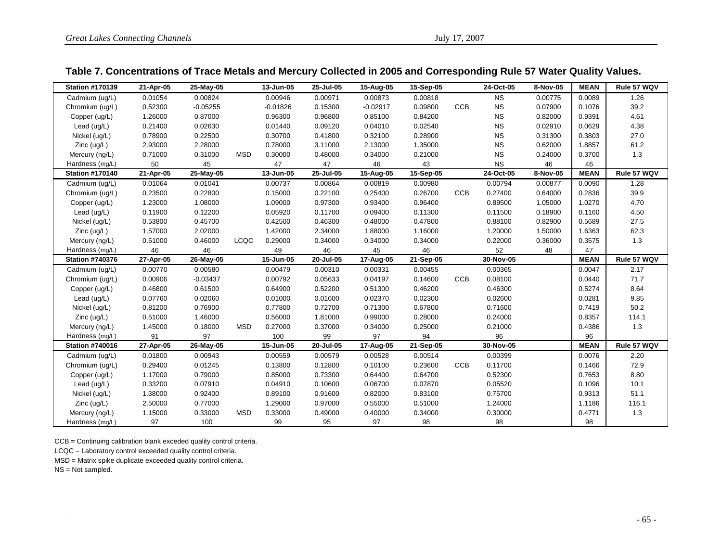### **Table 7. Concentrations of Trace Metals and Mercury Collected in 2005 and Corresponding Rule 57 Water Quality Values.**

| <b>Station #170139</b> | 21-Apr-05 | 25-May-05  |            | 13-Jun-05  | 25-Jul-05 | 15-Aug-05  | 15-Sep-05 |            | 24-Oct-05 | 8-Nov-05 | <b>MEAN</b> | Rule 57 WQV |
|------------------------|-----------|------------|------------|------------|-----------|------------|-----------|------------|-----------|----------|-------------|-------------|
| Cadmium (ug/L)         | 0.01054   | 0.00824    |            | 0.00946    | 0.00971   | 0.00873    | 0.00818   |            | <b>NS</b> | 0.00775  | 0.0089      | 1.26        |
| Chromium (ug/L)        | 0.52300   | $-0.05255$ |            | $-0.01826$ | 0.15300   | $-0.02917$ | 0.09800   | <b>CCB</b> | <b>NS</b> | 0.07900  | 0.1076      | 39.2        |
| Copper (ug/L)          | 1.26000   | 0.87000    |            | 0.96300    | 0.96800   | 0.85100    | 0.84200   |            | <b>NS</b> | 0.82000  | 0.9391      | 4.61        |
| Lead (ug/L)            | 0.21400   | 0.02630    |            | 0.01440    | 0.09120   | 0.04010    | 0.02540   |            | <b>NS</b> | 0.02910  | 0.0629      | 4.38        |
| Nickel (ug/L)          | 0.78900   | 0.22500    |            | 0.30700    | 0.41800   | 0.32100    | 0.28900   |            | <b>NS</b> | 0.31300  | 0.3803      | 27.0        |
| $Zinc$ (ug/L)          | 2.93000   | 2.28000    |            | 0.78000    | 3.11000   | 2.13000    | 1.35000   |            | <b>NS</b> | 0.62000  | 1.8857      | 61.2        |
| Mercury (ng/L)         | 0.71000   | 0.31000    | <b>MSD</b> | 0.30000    | 0.48000   | 0.34000    | 0.21000   |            | <b>NS</b> | 0.24000  | 0.3700      | 1.3         |
| Hardness (mg/L)        | 50        | 45         |            | 47         | 47        | 46         | 43        |            | <b>NS</b> | 46       | 46          |             |
| <b>Station #170140</b> | 21-Apr-05 | 25-May-05  |            | 13-Jun-05  | 25-Jul-05 | 15-Aug-05  | 15-Sep-05 |            | 24-Oct-05 | 8-Nov-05 | <b>MEAN</b> | Rule 57 WQV |
| Cadmium (uq/L)         | 0.01064   | 0.01041    |            | 0.00737    | 0.00864   | 0.00819    | 0.00980   |            | 0.00794   | 0.00877  | 0.0090      | 1.28        |
| Chromium (ug/L)        | 0.23500   | 0.22800    |            | 0.15000    | 0.22100   | 0.25400    | 0.26700   | <b>CCB</b> | 0.27400   | 0.64000  | 0.2836      | 39.9        |
| Copper (ug/L)          | 1.23000   | 1.08000    |            | 1.09000    | 0.97300   | 0.93400    | 0.96400   |            | 0.89500   | 1.05000  | 1.0270      | 4.70        |
| Lead (ug/L)            | 0.11900   | 0.12200    |            | 0.05920    | 0.11700   | 0.09400    | 0.11300   |            | 0.11500   | 0.18900  | 0.1160      | 4.50        |
| Nickel (ug/L)          | 0.53800   | 0.45700    |            | 0.42500    | 0.46300   | 0.48000    | 0.47800   |            | 0.88100   | 0.82900  | 0.5689      | 27.5        |
| $Zinc$ (ug/L)          | 1.57000   | 2.02000    |            | 1.42000    | 2.34000   | 1.88000    | 1.16000   |            | 1.20000   | 1.50000  | 1.6363      | 62.3        |
| Mercury (ng/L)         | 0.51000   | 0.46000    | LCQC       | 0.29000    | 0.34000   | 0.34000    | 0.34000   |            | 0.22000   | 0.36000  | 0.3575      | 1.3         |
| Hardness (mg/L)        | 46        | 46         |            | 49         | 46        | 45         | 46        |            | 52        | 48       | 47          |             |
| <b>Station #740376</b> | 27-Apr-05 | 26-May-05  |            | 15-Jun-05  | 20-Jul-05 | 17-Aug-05  | 21-Sep-05 |            | 30-Nov-05 |          | <b>MEAN</b> | Rule 57 WQV |
| Cadmium (ug/L)         | 0.00770   | 0.00580    |            | 0.00479    | 0.00310   | 0.00331    | 0.00455   |            | 0.00365   |          | 0.0047      | 2.17        |
| Chromium (ug/L)        | 0.00906   | $-0.03437$ |            | 0.00792    | 0.05633   | 0.04197    | 0.14600   | CCB        | 0.08100   |          | 0.0440      | 71.7        |
| Copper (ug/L)          | 0.46800   | 0.61500    |            | 0.64900    | 0.52200   | 0.51300    | 0.46200   |            | 0.46300   |          | 0.5274      | 8.64        |
| Lead (ug/L)            | 0.07760   | 0.02060    |            | 0.01000    | 0.01600   | 0.02370    | 0.02300   |            | 0.02600   |          | 0.0281      | 9.85        |
| Nickel (ug/L)          | 0.81200   | 0.76900    |            | 0.77800    | 0.72700   | 0.71300    | 0.67800   |            | 0.71600   |          | 0.7419      | 50.2        |
| $Zinc$ (ug/L)          | 0.51000   | 1.46000    |            | 0.56000    | 1.81000   | 0.99000    | 0.28000   |            | 0.24000   |          | 0.8357      | 114.1       |
| Mercury (ng/L)         | 1.45000   | 0.18000    | <b>MSD</b> | 0.27000    | 0.37000   | 0.34000    | 0.25000   |            | 0.21000   |          | 0.4386      | 1.3         |
| Hardness (mg/L)        | 91        | 97         |            | 100        | 99        | 97         | 94        |            | 96        |          | 96          |             |
| <b>Station #740016</b> | 27-Apr-05 | 26-May-05  |            | 15-Jun-05  | 20-Jul-05 | 17-Aug-05  | 21-Sep-05 |            | 30-Nov-05 |          | <b>MEAN</b> | Rule 57 WQV |
| Cadmium (ug/L)         | 0.01800   | 0.00943    |            | 0.00559    | 0.00579   | 0.00528    | 0.00514   |            | 0.00399   |          | 0.0076      | 2.20        |
| Chromium (ug/L)        | 0.29400   | 0.01245    |            | 0.13800    | 0.12800   | 0.10100    | 0.23600   | <b>CCB</b> | 0.11700   |          | 0.1466      | 72.9        |
| Copper (ug/L)          | 1.17000   | 0.79000    |            | 0.85000    | 0.73300   | 0.64400    | 0.64700   |            | 0.52300   |          | 0.7653      | 8.80        |
| Lead (ug/L)            | 0.33200   | 0.07910    |            | 0.04910    | 0.10600   | 0.06700    | 0.07870   |            | 0.05520   |          | 0.1096      | 10.1        |
| Nickel (ug/L)          | 1.38000   | 0.92400    |            | 0.89100    | 0.91600   | 0.82000    | 0.83100   |            | 0.75700   |          | 0.9313      | 51.1        |
| $Zinc$ (ug/L)          | 2.50000   | 0.77000    |            | 1.29000    | 0.97000   | 0.55000    | 0.51000   |            | 1.24000   |          | 1.1186      | 116.1       |
| Mercury (ng/L)         | 1.15000   | 0.33000    | <b>MSD</b> | 0.33000    | 0.49000   | 0.40000    | 0.34000   |            | 0.30000   |          | 0.4771      | 1.3         |
| Hardness (mg/L)        | 97        | 100        |            | 99         | 95        | 97         | 98        |            | 98        |          | 98          |             |

CCB = Continuing calibration blank exceded quality control criteria.

LCQC = Laboratory control exceeded quality control criteria.

MSD = Matrix spike duplicate exceeded quality control criteria.

NS = Not sampled.